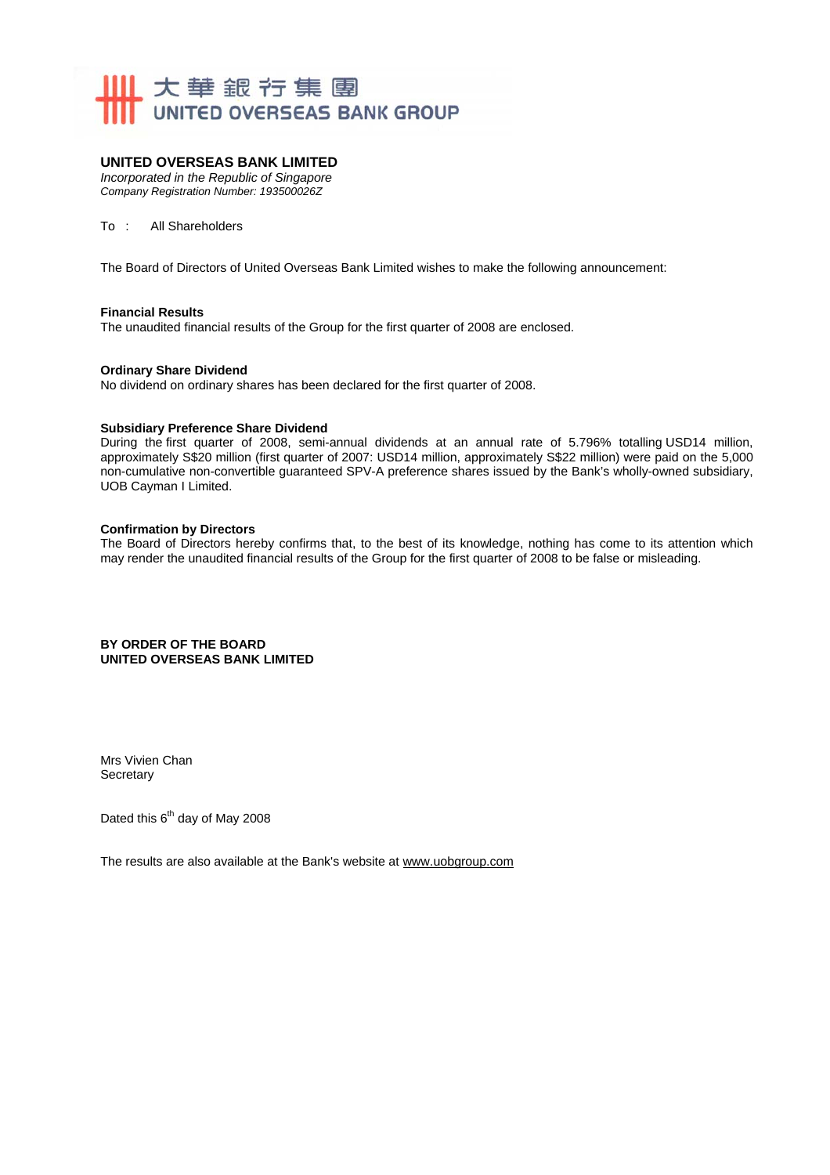

### **UNITED OVERSEAS BANK LIMITED**

*Incorporated in the Republic of Singapore Company Registration Number: 193500026Z* 

To : All Shareholders

The Board of Directors of United Overseas Bank Limited wishes to make the following announcement:

#### **Financial Results**

The unaudited financial results of the Group for the first quarter of 2008 are enclosed.

#### **Ordinary Share Dividend**

No dividend on ordinary shares has been declared for the first quarter of 2008.

#### **Subsidiary Preference Share Dividend**

During the first quarter of 2008, semi-annual dividends at an annual rate of 5.796% totalling USD14 million, approximately S\$20 million (first quarter of 2007: USD14 million, approximately S\$22 million) were paid on the 5,000 non-cumulative non-convertible guaranteed SPV-A preference shares issued by the Bank's wholly-owned subsidiary, UOB Cayman I Limited.

#### **Confirmation by Directors**

The Board of Directors hereby confirms that, to the best of its knowledge, nothing has come to its attention which may render the unaudited financial results of the Group for the first quarter of 2008 to be false or misleading.

#### **BY ORDER OF THE BOARD UNITED OVERSEAS BANK LIMITED**

Mrs Vivien Chan **Secretary** 

Dated this 6<sup>th</sup> day of May 2008

The results are also available at the Bank's website at www.uobgroup.com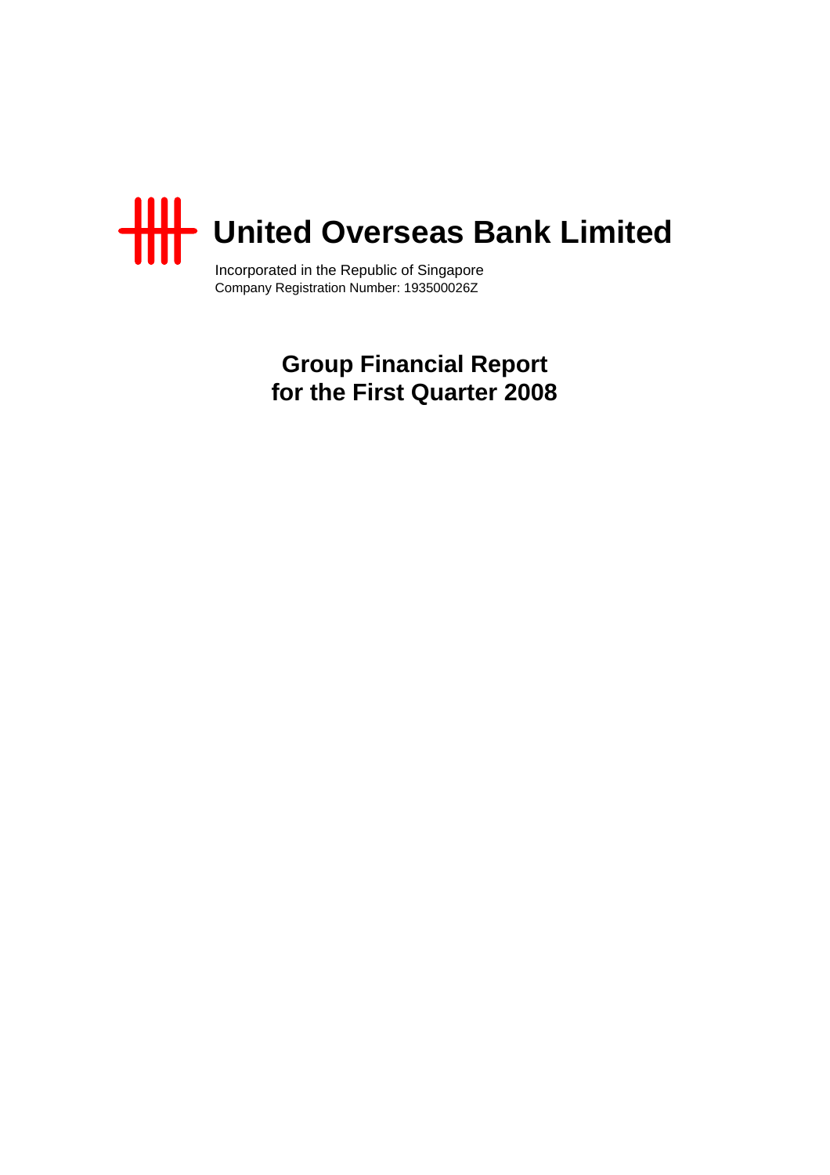

Incorporated in the Republic of Singapore Company Registration Number: 193500026Z

> **Group Financial Report for the First Quarter 2008**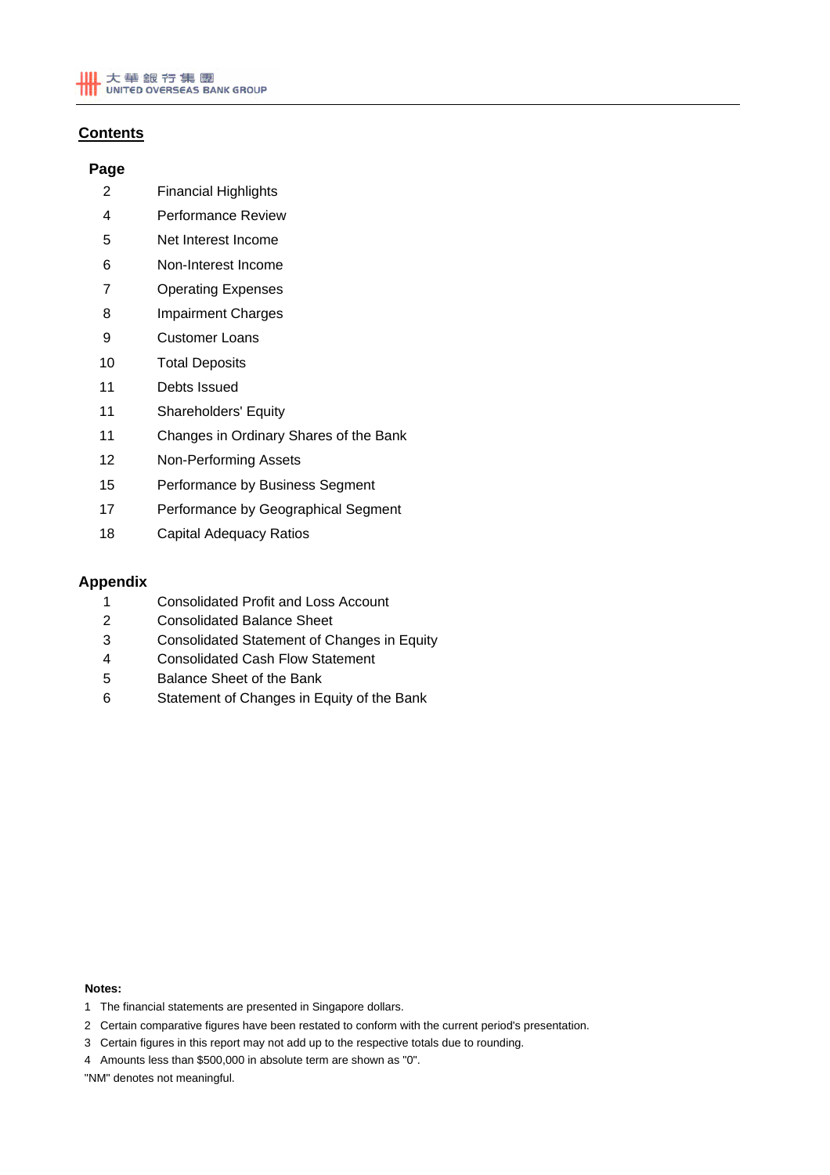# **Contents**

## **Page**

- 2 Financial Highlights
- 4 Performance Review
- 5 Net Interest Income
- 6 Non-Interest Income
- 7 Operating Expenses
- 8 Impairment Charges
- 9 Customer Loans
- 10 Total Deposits
- 11 Debts Issued
- 11 Shareholders' Equity
- 11 Changes in Ordinary Shares of the Bank
- 12 Non-Performing Assets
- 15 Performance by Business Segment
- 17 Performance by Geographical Segment
- 18 Capital Adequacy Ratios

### **Appendix**

- 1 Consolidated Profit and Loss Account
- 2 Consolidated Balance Sheet
- 3 Consolidated Statement of Changes in Equity
- 4 Consolidated Cash Flow Statement
- 5 Balance Sheet of the Bank
- 6 Statement of Changes in Equity of the Bank

#### **Notes:**

- 1 The financial statements are presented in Singapore dollars.
- 2 Certain comparative figures have been restated to conform with the current period's presentation.
- 3 Certain figures in this report may not add up to the respective totals due to rounding.
- 4 Amounts less than \$500,000 in absolute term are shown as "0".

"NM" denotes not meaningful.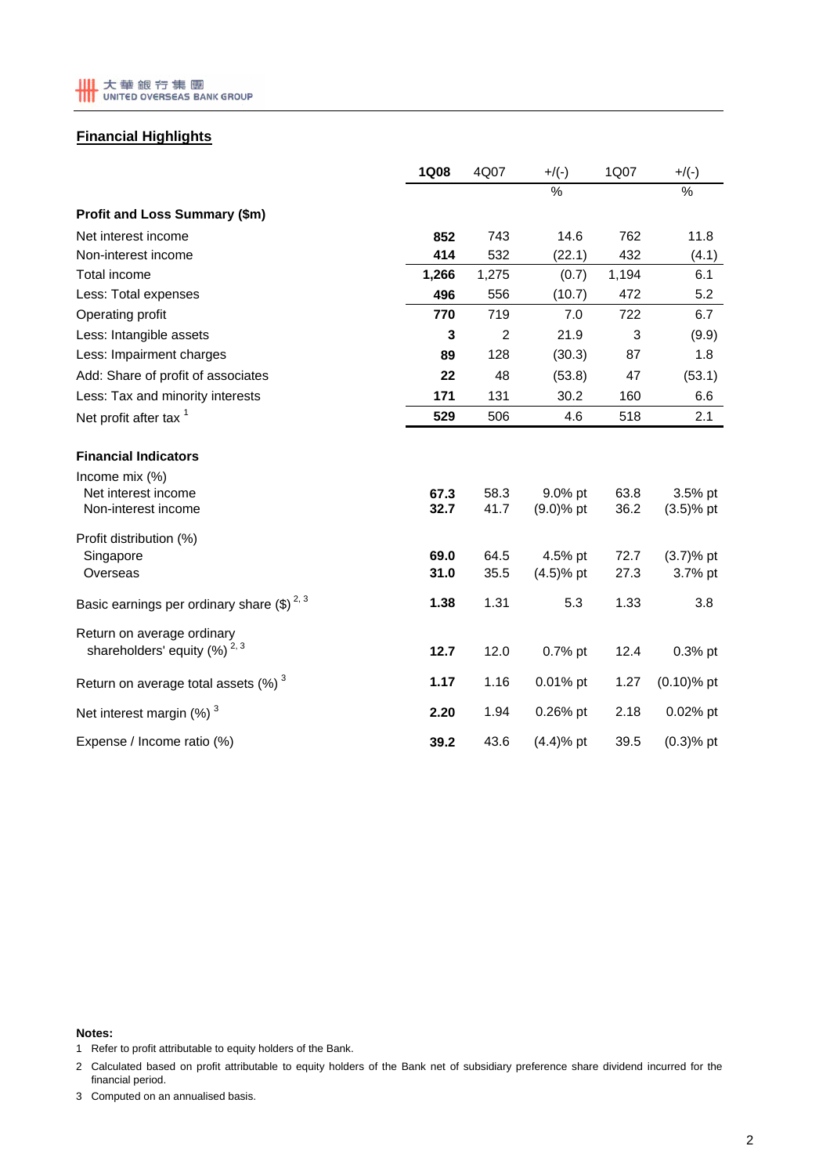

# **Financial Highlights**

|                                                                       | <b>1Q08</b>  | 4Q07         | $+$ /(-)                | 1Q07         | $+$ /(-)                  |
|-----------------------------------------------------------------------|--------------|--------------|-------------------------|--------------|---------------------------|
|                                                                       |              |              | $\frac{0}{0}$           |              | $\frac{0}{0}$             |
| Profit and Loss Summary (\$m)                                         |              |              |                         |              |                           |
| Net interest income                                                   | 852          | 743          | 14.6                    | 762          | 11.8                      |
| Non-interest income                                                   | 414          | 532          | (22.1)                  | 432          | (4.1)                     |
| Total income                                                          | 1,266        | 1,275        | (0.7)                   | 1,194        | 6.1                       |
| Less: Total expenses                                                  | 496          | 556          | (10.7)                  | 472          | 5.2                       |
| Operating profit                                                      | 770          | 719          | 7.0                     | 722          | 6.7                       |
| Less: Intangible assets                                               | 3            | 2            | 21.9                    | 3            | (9.9)                     |
| Less: Impairment charges                                              | 89           | 128          | (30.3)                  | 87           | 1.8                       |
| Add: Share of profit of associates                                    | 22           | 48           | (53.8)                  | 47           | (53.1)                    |
| Less: Tax and minority interests                                      | 171          | 131          | 30.2                    | 160          | 6.6                       |
| Net profit after tax <sup>1</sup>                                     | 529          | 506          | 4.6                     | 518          | 2.1                       |
| <b>Financial Indicators</b>                                           |              |              |                         |              |                           |
| Income mix $(\%)$<br>Net interest income<br>Non-interest income       | 67.3<br>32.7 | 58.3<br>41.7 | 9.0% pt<br>$(9.0)$ % pt | 63.8<br>36.2 | $3.5%$ pt<br>$(3.5)$ % pt |
| Profit distribution (%)                                               |              |              |                         |              |                           |
| Singapore<br>Overseas                                                 | 69.0<br>31.0 | 64.5<br>35.5 | 4.5% pt<br>$(4.5)$ % pt | 72.7<br>27.3 | $(3.7)$ % pt<br>3.7% pt   |
| Basic earnings per ordinary share $(\$)^{2,3}$                        | 1.38         | 1.31         | 5.3                     | 1.33         | 3.8                       |
| Return on average ordinary<br>shareholders' equity (%) <sup>2,3</sup> | 12.7         | 12.0         | 0.7% pt                 | 12.4         | 0.3% pt                   |
| Return on average total assets $(\%)$ <sup>3</sup>                    | 1.17         | 1.16         | 0.01% pt                | 1.27         | $(0.10)$ % pt             |
| Net interest margin $(\%)$ <sup>3</sup>                               | 2.20         | 1.94         | 0.26% pt                | 2.18         | 0.02% pt                  |
| Expense / Income ratio (%)                                            | 39.2         | 43.6         | $(4.4)$ % pt            | 39.5         | $(0.3)$ % pt              |

#### **Notes:**

- 1 Refer to profit attributable to equity holders of the Bank.
- 2 Calculated based on profit attributable to equity holders of the Bank net of subsidiary preference share dividend incurred for the financial period.
- 3 Computed on an annualised basis.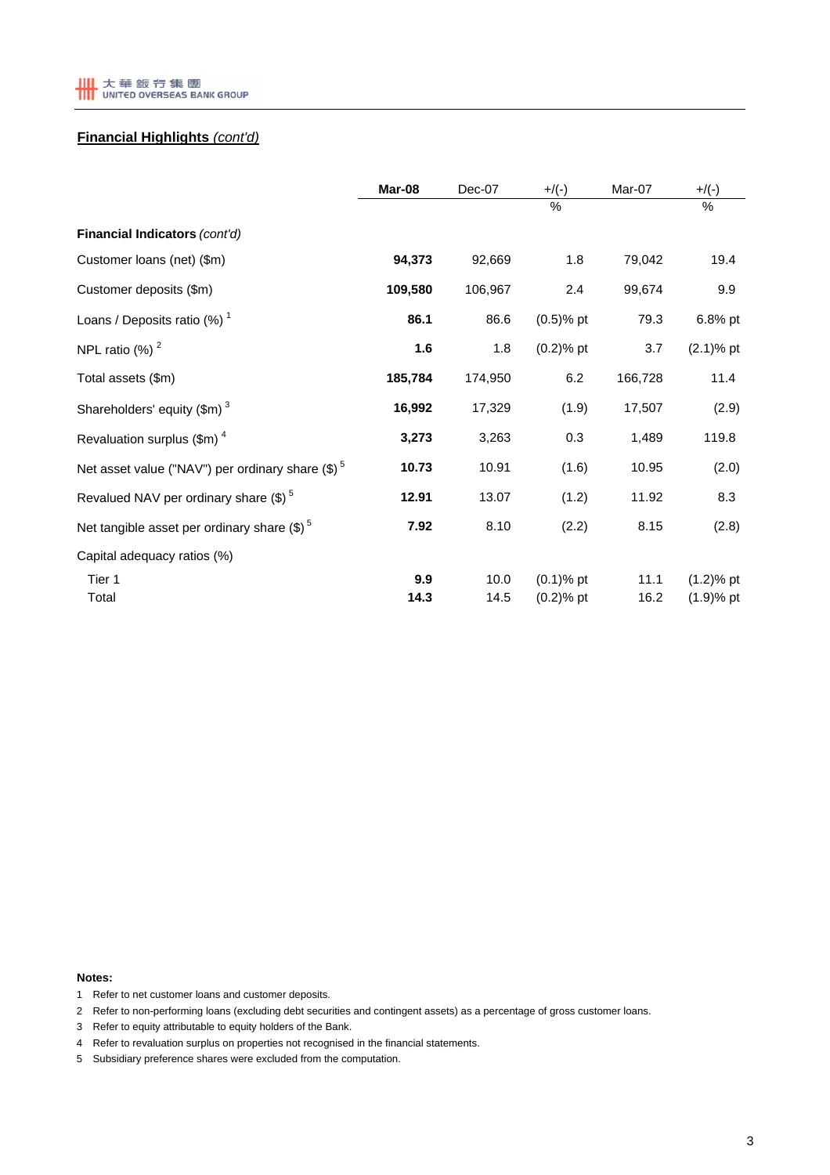

# **Financial Highlights** *(cont'd)*

|                                                     | Mar-08      | Dec-07       | $+/(-)$                      | Mar-07       | $+$ /(-)                     |
|-----------------------------------------------------|-------------|--------------|------------------------------|--------------|------------------------------|
|                                                     |             |              | %                            |              | %                            |
| Financial Indicators (cont'd)                       |             |              |                              |              |                              |
| Customer loans (net) (\$m)                          | 94,373      | 92,669       | 1.8                          | 79,042       | 19.4                         |
| Customer deposits (\$m)                             | 109,580     | 106,967      | 2.4                          | 99,674       | 9.9                          |
| Loans / Deposits ratio $(\%)$ <sup>1</sup>          | 86.1        | 86.6         | $(0.5)$ % pt                 | 79.3         | 6.8% pt                      |
| NPL ratio $(\%)$ <sup>2</sup>                       | 1.6         | 1.8          | $(0.2)$ % pt                 | 3.7          | $(2.1)$ % pt                 |
| Total assets (\$m)                                  | 185,784     | 174,950      | 6.2                          | 166,728      | 11.4                         |
| Shareholders' equity $(\text{$m$})^3$               | 16,992      | 17,329       | (1.9)                        | 17,507       | (2.9)                        |
| Revaluation surplus $(\text{Im})^4$                 | 3,273       | 3,263        | 0.3                          | 1,489        | 119.8                        |
| Net asset value ("NAV") per ordinary share $(\$)^5$ | 10.73       | 10.91        | (1.6)                        | 10.95        | (2.0)                        |
| Revalued NAV per ordinary share $(\text{\$})^5$     | 12.91       | 13.07        | (1.2)                        | 11.92        | 8.3                          |
| Net tangible asset per ordinary share $(\$)^5$      | 7.92        | 8.10         | (2.2)                        | 8.15         | (2.8)                        |
| Capital adequacy ratios (%)                         |             |              |                              |              |                              |
| Tier 1<br>Total                                     | 9.9<br>14.3 | 10.0<br>14.5 | $(0.1)$ % pt<br>$(0.2)$ % pt | 11.1<br>16.2 | $(1.2)$ % pt<br>$(1.9)$ % pt |

**Notes:**

- 1 Refer to net customer loans and customer deposits.
- 2 Refer to non-performing loans (excluding debt securities and contingent assets) as a percentage of gross customer loans.
- 3 Refer to equity attributable to equity holders of the Bank.
- 4 Refer to revaluation surplus on properties not recognised in the financial statements.
- 5 Subsidiary preference shares were excluded from the computation.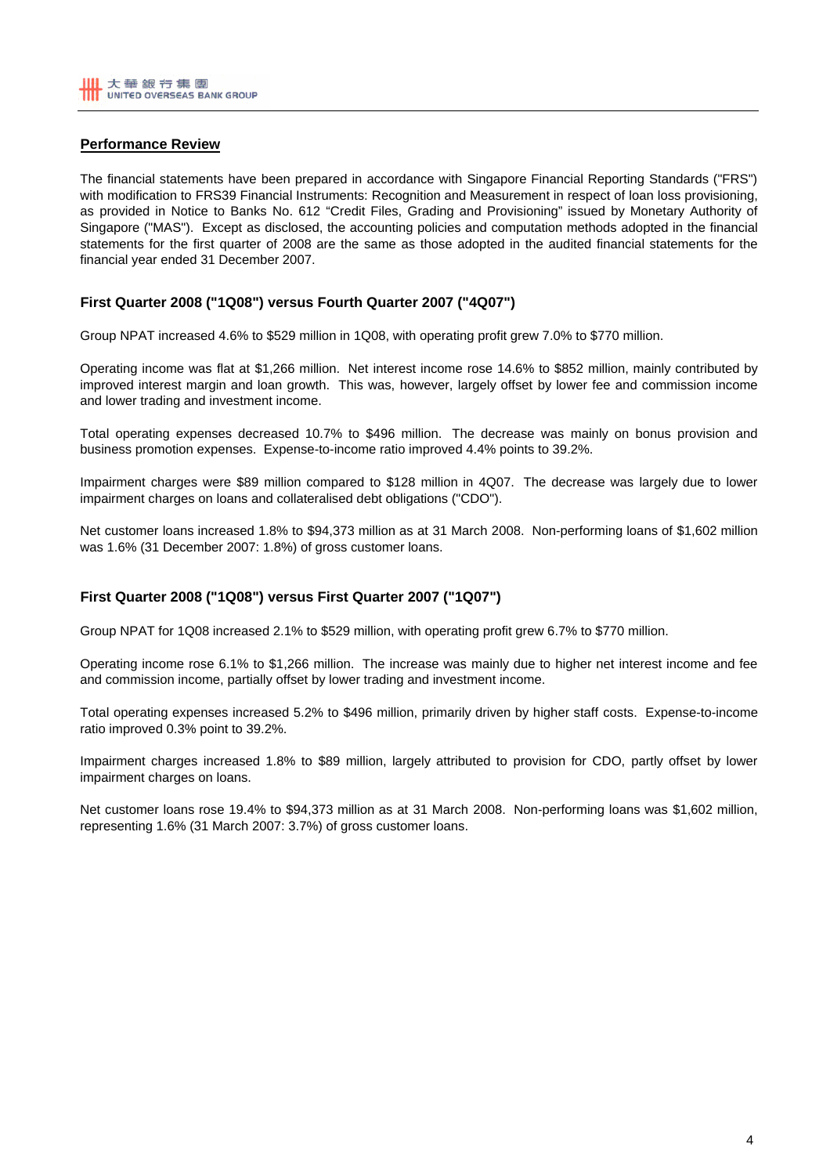# **Performance Review**

The financial statements have been prepared in accordance with Singapore Financial Reporting Standards ("FRS") with modification to FRS39 Financial Instruments: Recognition and Measurement in respect of loan loss provisioning, as provided in Notice to Banks No. 612 "Credit Files, Grading and Provisioning" issued by Monetary Authority of Singapore ("MAS"). Except as disclosed, the accounting policies and computation methods adopted in the financial statements for the first quarter of 2008 are the same as those adopted in the audited financial statements for the financial year ended 31 December 2007.

# **First Quarter 2008 ("1Q08") versus Fourth Quarter 2007 ("4Q07")**

Group NPAT increased 4.6% to \$529 million in 1Q08, with operating profit grew 7.0% to \$770 million.

Operating income was flat at \$1,266 million. Net interest income rose 14.6% to \$852 million, mainly contributed by improved interest margin and loan growth. This was, however, largely offset by lower fee and commission income and lower trading and investment income.

Total operating expenses decreased 10.7% to \$496 million. The decrease was mainly on bonus provision and business promotion expenses. Expense-to-income ratio improved 4.4% points to 39.2%.

Impairment charges were \$89 million compared to \$128 million in 4Q07. The decrease was largely due to lower impairment charges on loans and collateralised debt obligations ("CDO").

Net customer loans increased 1.8% to \$94,373 million as at 31 March 2008. Non-performing loans of \$1,602 million was 1.6% (31 December 2007: 1.8%) of gross customer loans.

## **First Quarter 2008 ("1Q08") versus First Quarter 2007 ("1Q07")**

Group NPAT for 1Q08 increased 2.1% to \$529 million, with operating profit grew 6.7% to \$770 million.

Operating income rose 6.1% to \$1,266 million. The increase was mainly due to higher net interest income and fee and commission income, partially offset by lower trading and investment income.

Total operating expenses increased 5.2% to \$496 million, primarily driven by higher staff costs. Expense-to-income ratio improved 0.3% point to 39.2%.

Impairment charges increased 1.8% to \$89 million, largely attributed to provision for CDO, partly offset by lower impairment charges on loans.

Net customer loans rose 19.4% to \$94,373 million as at 31 March 2008. Non-performing loans was \$1,602 million, representing 1.6% (31 March 2007: 3.7%) of gross customer loans.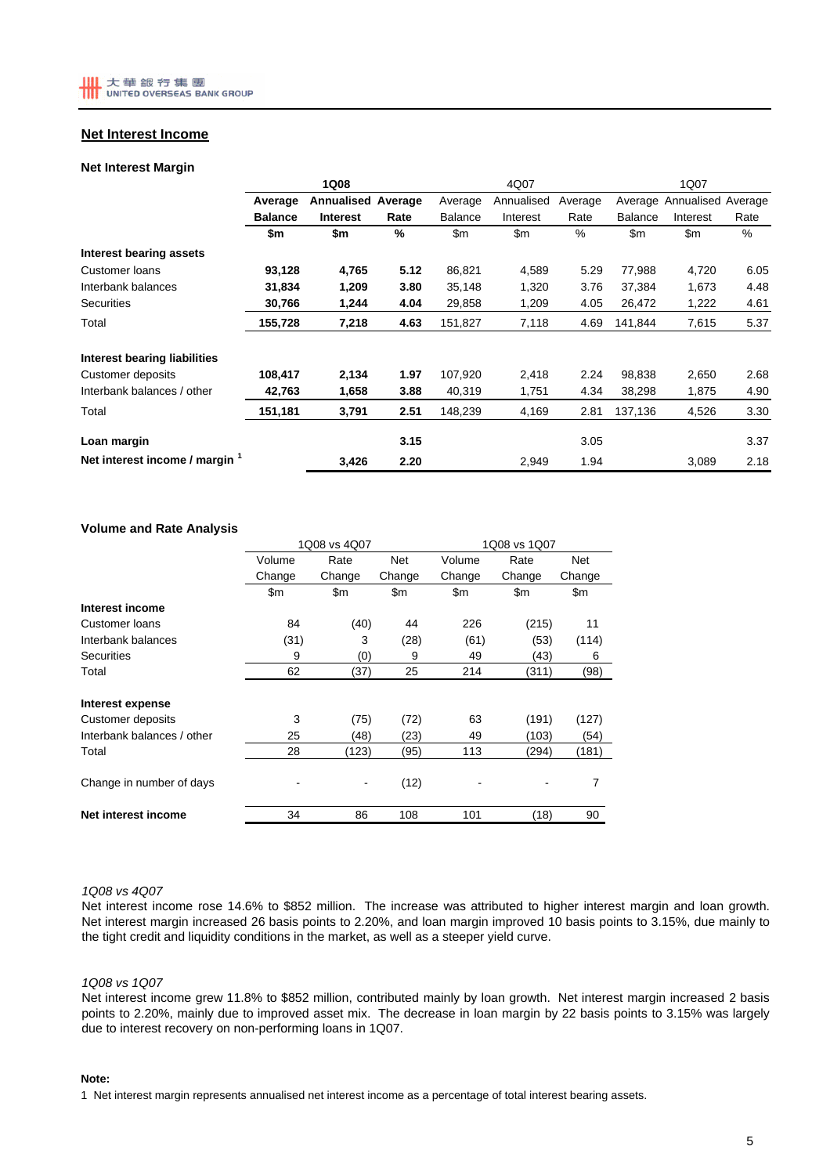### **Net Interest Income**

#### **Net Interest Margin**

|                                | 1Q08           |                           |      |                | 4Q07          |         |                | 1Q07                       |      |  |  |
|--------------------------------|----------------|---------------------------|------|----------------|---------------|---------|----------------|----------------------------|------|--|--|
|                                | Average        | <b>Annualised Average</b> |      | Average        | Annualised    | Average |                | Average Annualised Average |      |  |  |
|                                | <b>Balance</b> | <b>Interest</b>           | Rate | <b>Balance</b> | Interest      | Rate    | <b>Balance</b> | Interest                   | Rate |  |  |
|                                | \$m            | \$m                       | %    | \$m            | $\mathsf{Sm}$ | %       | $\mathsf{Sm}$  | \$m                        | %    |  |  |
| Interest bearing assets        |                |                           |      |                |               |         |                |                            |      |  |  |
| Customer loans                 | 93,128         | 4,765                     | 5.12 | 86,821         | 4,589         | 5.29    | 77,988         | 4,720                      | 6.05 |  |  |
| Interbank balances             | 31,834         | 1,209                     | 3.80 | 35,148         | 1,320         | 3.76    | 37,384         | 1,673                      | 4.48 |  |  |
| <b>Securities</b>              | 30,766         | 1,244                     | 4.04 | 29,858         | 1,209         | 4.05    | 26,472         | 1,222                      | 4.61 |  |  |
| Total                          | 155,728        | 7,218                     | 4.63 | 151,827        | 7,118         | 4.69    | 141,844        | 7,615                      | 5.37 |  |  |
| Interest bearing liabilities   |                |                           |      |                |               |         |                |                            |      |  |  |
| Customer deposits              | 108,417        | 2,134                     | 1.97 | 107,920        | 2,418         | 2.24    | 98,838         | 2,650                      | 2.68 |  |  |
| Interbank balances / other     | 42,763         | 1,658                     | 3.88 | 40,319         | 1,751         | 4.34    | 38,298         | 1,875                      | 4.90 |  |  |
| Total                          | 151,181        | 3,791                     | 2.51 | 148,239        | 4,169         | 2.81    | 137,136        | 4,526                      | 3.30 |  |  |
| Loan margin                    |                |                           | 3.15 |                |               | 3.05    |                |                            | 3.37 |  |  |
| Net interest income / margin 1 |                | 3,426                     | 2.20 |                | 2,949         | 1.94    |                | 3,089                      | 2.18 |  |  |

#### **Volume and Rate Analysis**

|                            | 1Q08 vs 4Q07 |        |        | 1Q08 vs 1Q07 |        |        |  |
|----------------------------|--------------|--------|--------|--------------|--------|--------|--|
|                            | Volume       | Rate   | Net    | Volume       | Rate   |        |  |
|                            | Change       | Change | Change | Change       | Change | Change |  |
|                            | \$m          | \$m    | \$m    | \$m          | \$m    | \$m    |  |
| Interest income            |              |        |        |              |        |        |  |
| Customer loans             | 84           | (40)   | 44     | 226          | (215)  | 11     |  |
| Interbank balances         | (31)         | 3      | (28)   | (61)         | (53)   | (114)  |  |
| <b>Securities</b>          | 9            | (0)    | 9      | 49           | (43)   | 6      |  |
| Total                      | 62           | (37)   | 25     | 214          | (311)  | (98)   |  |
| Interest expense           |              |        |        |              |        |        |  |
| Customer deposits          | 3            | (75)   | (72)   | 63           | (191)  | (127)  |  |
| Interbank balances / other | 25           | (48)   | (23)   | 49           | (103)  | (54)   |  |
| Total                      | 28           | (123)  | (95)   | 113          | (294)  | (181)  |  |
| Change in number of days   |              |        | (12)   |              |        | 7      |  |
| Net interest income        | 34           | 86     | 108    | 101          | (18)   | 90     |  |

#### *1Q08 vs 4Q07*

Net interest income rose 14.6% to \$852 million. The increase was attributed to higher interest margin and loan growth. Net interest margin increased 26 basis points to 2.20%, and loan margin improved 10 basis points to 3.15%, due mainly to the tight credit and liquidity conditions in the market, as well as a steeper yield curve.

#### *1Q08 vs 1Q07*

Net interest income grew 11.8% to \$852 million, contributed mainly by loan growth. Net interest margin increased 2 basis points to 2.20%, mainly due to improved asset mix. The decrease in loan margin by 22 basis points to 3.15% was largely due to interest recovery on non-performing loans in 1Q07.

#### **Note:**

1 Net interest margin represents annualised net interest income as a percentage of total interest bearing assets.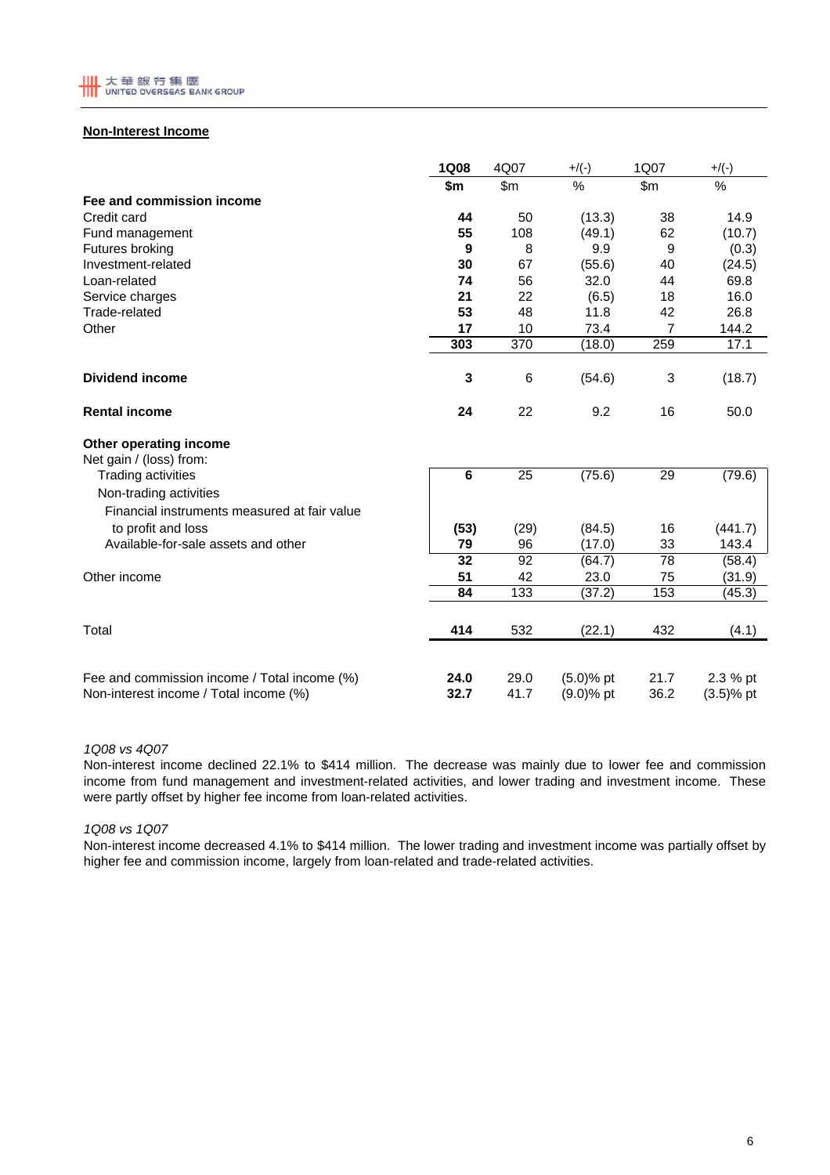

## **Non-Interest Income**

|                                                                                        | <b>1Q08</b>     | 4Q07             | $+$ /(-)                     | 1Q07         | $+$ /(-)                 |
|----------------------------------------------------------------------------------------|-----------------|------------------|------------------------------|--------------|--------------------------|
|                                                                                        | \$m             | \$m\$            | $\%$                         | \$m\$        | %                        |
| Fee and commission income                                                              |                 |                  |                              |              |                          |
| Credit card                                                                            | 44              | 50               | (13.3)                       | 38           | 14.9                     |
| Fund management                                                                        | 55              | 108              | (49.1)                       | 62           | (10.7)                   |
| Futures broking                                                                        | 9               | 8                | 9.9                          | 9            | (0.3)                    |
| Investment-related                                                                     | 30              | 67               | (55.6)                       | 40           | (24.5)                   |
| Loan-related                                                                           | 74              | 56               | 32.0                         | 44           | 69.8                     |
| Service charges                                                                        | 21              | 22               | (6.5)                        | 18           | 16.0                     |
| Trade-related                                                                          | 53              | 48               | 11.8                         | 42           | 26.8                     |
| Other                                                                                  | 17              | 10               | 73.4                         | 7            | 144.2                    |
|                                                                                        | 303             | $\overline{370}$ | (18.0)                       | 259          | 17.1                     |
| <b>Dividend income</b>                                                                 | 3               | 6                | (54.6)                       | 3            | (18.7)                   |
| <b>Rental income</b>                                                                   | 24              | 22               | 9.2                          | 16           | 50.0                     |
| Other operating income<br>Net gain / (loss) from:                                      |                 |                  |                              |              |                          |
| <b>Trading activities</b>                                                              | $\overline{6}$  | 25               | (75.6)                       | 29           | (79.6)                   |
| Non-trading activities                                                                 |                 |                  |                              |              |                          |
| Financial instruments measured at fair value                                           |                 |                  |                              |              |                          |
| to profit and loss                                                                     | (53)            | (29)             | (84.5)                       | 16           | (441.7)                  |
| Available-for-sale assets and other                                                    | 79              | 96               | (17.0)                       | 33           | 143.4                    |
|                                                                                        | $\overline{32}$ | 92               | (64.7)                       | 78           | (58.4)                   |
| Other income                                                                           | 51              | 42               | 23.0                         | 75           | (31.9)                   |
|                                                                                        | 84              | 133              | (37.2)                       | 153          | (45.3)                   |
| Total                                                                                  | 414             | 532              | (22.1)                       | 432          | (4.1)                    |
| Fee and commission income / Total income (%)<br>Non-interest income / Total income (%) | 24.0<br>32.7    | 29.0<br>41.7     | $(5.0)$ % pt<br>$(9.0)$ % pt | 21.7<br>36.2 | 2.3 % pt<br>$(3.5)$ % pt |

#### *1Q08 vs 4Q07*

Non-interest income declined 22.1% to \$414 million. The decrease was mainly due to lower fee and commission income from fund management and investment-related activities, and lower trading and investment income. These were partly offset by higher fee income from loan-related activities.

#### *1Q08 vs 1Q07*

Non-interest income decreased 4.1% to \$414 million. The lower trading and investment income was partially offset by higher fee and commission income, largely from loan-related and trade-related activities.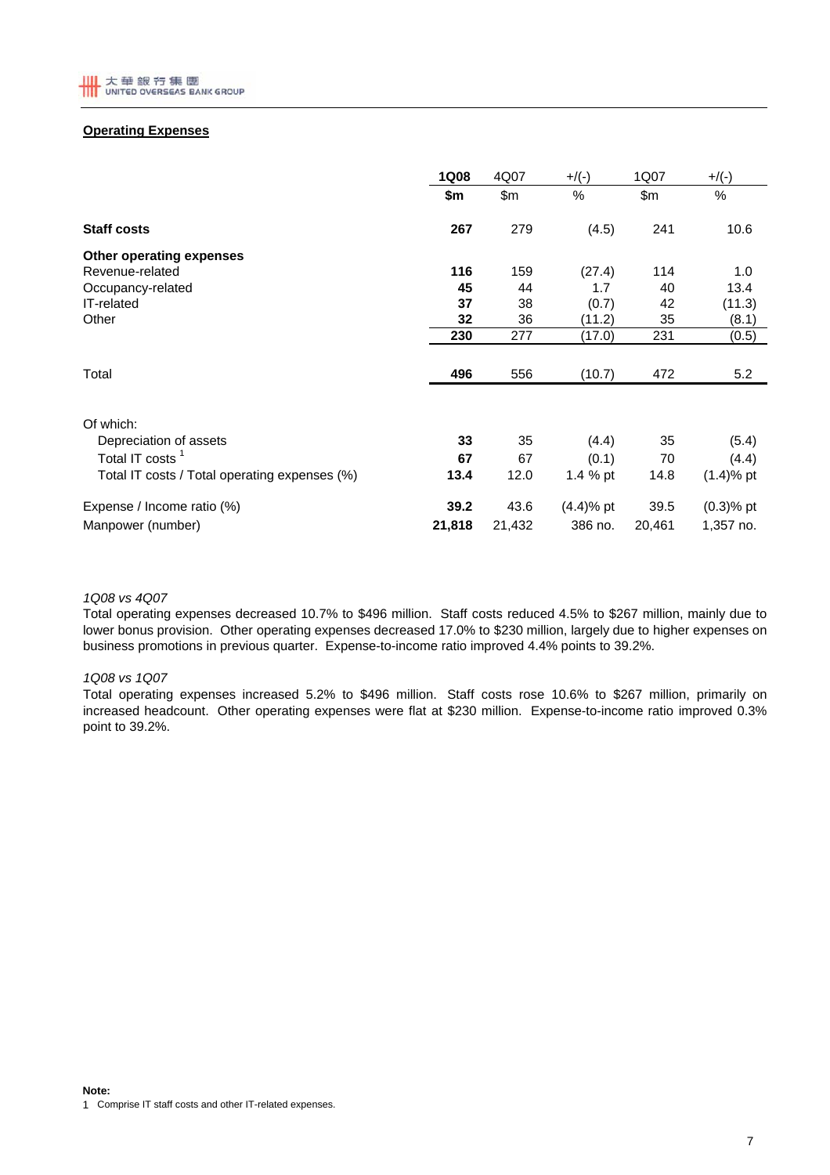

## **Operating Expenses**

|                                               | <b>1Q08</b> | 4Q07   | $+$ /(-)     | 1Q07   | $+$ /(-)     |
|-----------------------------------------------|-------------|--------|--------------|--------|--------------|
|                                               | \$m         | \$m\$  | %            | \$m\$  | %            |
| <b>Staff costs</b>                            | 267         | 279    | (4.5)        | 241    | 10.6         |
| Other operating expenses                      |             |        |              |        |              |
| Revenue-related                               | 116         | 159    | (27.4)       | 114    | 1.0          |
| Occupancy-related                             | 45          | 44     | 1.7          | 40     | 13.4         |
| IT-related                                    | 37          | 38     | (0.7)        | 42     | (11.3)       |
| Other                                         | 32          | 36     | (11.2)       | 35     | (8.1)        |
|                                               | 230         | 277    | (17.0)       | 231    | (0.5)        |
|                                               |             |        |              |        |              |
| Total                                         | 496         | 556    | (10.7)       | 472    | 5.2          |
|                                               |             |        |              |        |              |
| Of which:                                     |             |        |              |        |              |
| Depreciation of assets                        | 33          | 35     | (4.4)        | 35     | (5.4)        |
| Total IT costs <sup>1</sup>                   | 67          | 67     | (0.1)        | 70     | (4.4)        |
| Total IT costs / Total operating expenses (%) | 13.4        | 12.0   | 1.4 % pt     | 14.8   | $(1.4)$ % pt |
| Expense / Income ratio (%)                    | 39.2        | 43.6   | $(4.4)$ % pt | 39.5   | $(0.3)$ % pt |
| Manpower (number)                             | 21,818      | 21,432 | 386 no.      | 20,461 | 1,357 no.    |

### *1Q08 vs 4Q07*

Total operating expenses decreased 10.7% to \$496 million. Staff costs reduced 4.5% to \$267 million, mainly due to lower bonus provision. Other operating expenses decreased 17.0% to \$230 million, largely due to higher expenses on business promotions in previous quarter. Expense-to-income ratio improved 4.4% points to 39.2%.

### *1Q08 vs 1Q07*

Total operating expenses increased 5.2% to \$496 million. Staff costs rose 10.6% to \$267 million, primarily on increased headcount. Other operating expenses were flat at \$230 million. Expense-to-income ratio improved 0.3% point to 39.2%.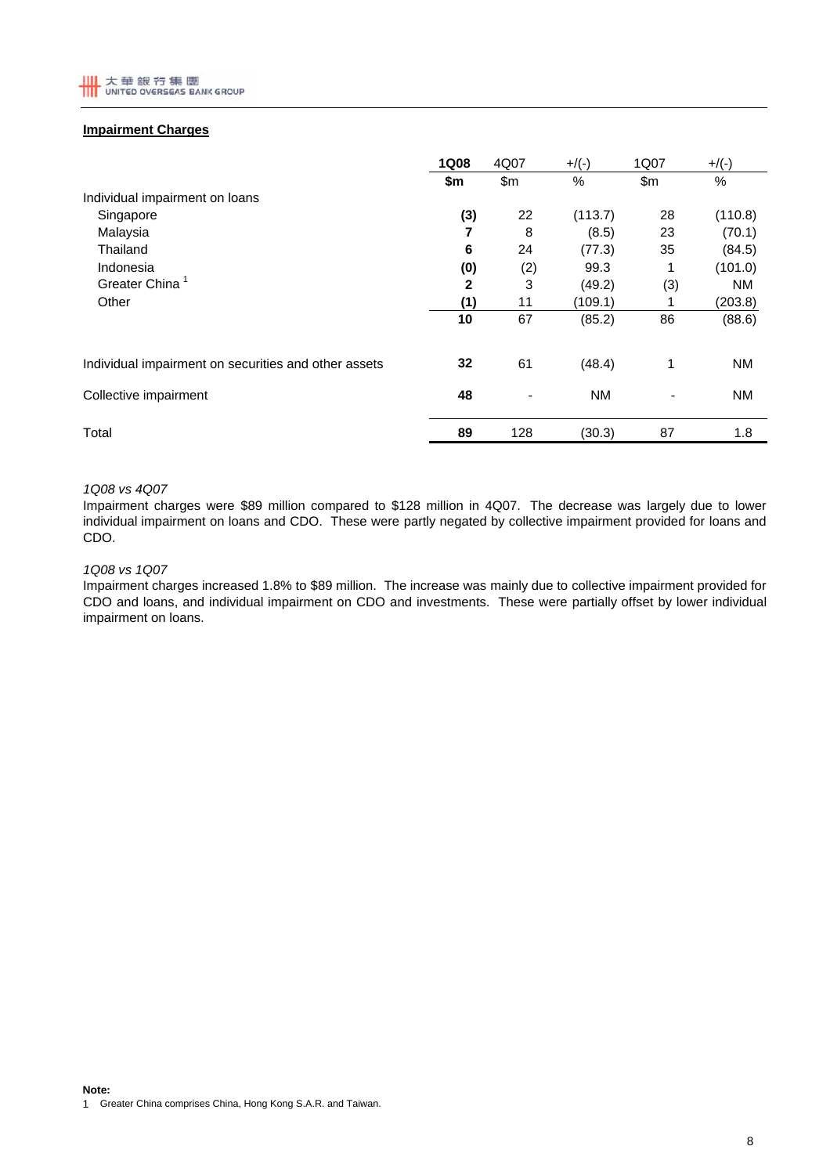

### **Impairment Charges**

|                                                      | <b>1Q08</b>  | 4Q07                     | $+$ /(-)  | 1Q07 | $+$ /(-)  |
|------------------------------------------------------|--------------|--------------------------|-----------|------|-----------|
|                                                      | \$m          | \$m                      | %         | \$m  | $\%$      |
| Individual impairment on loans                       |              |                          |           |      |           |
| Singapore                                            | (3)          | 22                       | (113.7)   | 28   | (110.8)   |
| Malaysia                                             | 7            | 8                        | (8.5)     | 23   | (70.1)    |
| Thailand                                             | 6            | 24                       | (77.3)    | 35   | (84.5)    |
| Indonesia                                            | (0)          | (2)                      | 99.3      | 1    | (101.0)   |
| Greater China                                        | $\mathbf{2}$ | 3                        | (49.2)    | (3)  | <b>NM</b> |
| Other                                                | (1)          | 11                       | (109.1)   |      | (203.8)   |
|                                                      | 10           | 67                       | (85.2)    | 86   | (88.6)    |
| Individual impairment on securities and other assets | 32           | 61                       | (48.4)    | 1    | <b>NM</b> |
| Collective impairment                                | 48           | $\overline{\phantom{0}}$ | <b>NM</b> |      | <b>NM</b> |
| Total                                                | 89           | 128                      | (30.3)    | 87   | 1.8       |

#### *1Q08 vs 4Q07*

Impairment charges were \$89 million compared to \$128 million in 4Q07. The decrease was largely due to lower individual impairment on loans and CDO. These were partly negated by collective impairment provided for loans and CDO.

#### *1Q08 vs 1Q07*

Impairment charges increased 1.8% to \$89 million. The increase was mainly due to collective impairment provided for CDO and loans, and individual impairment on CDO and investments. These were partially offset by lower individual impairment on loans.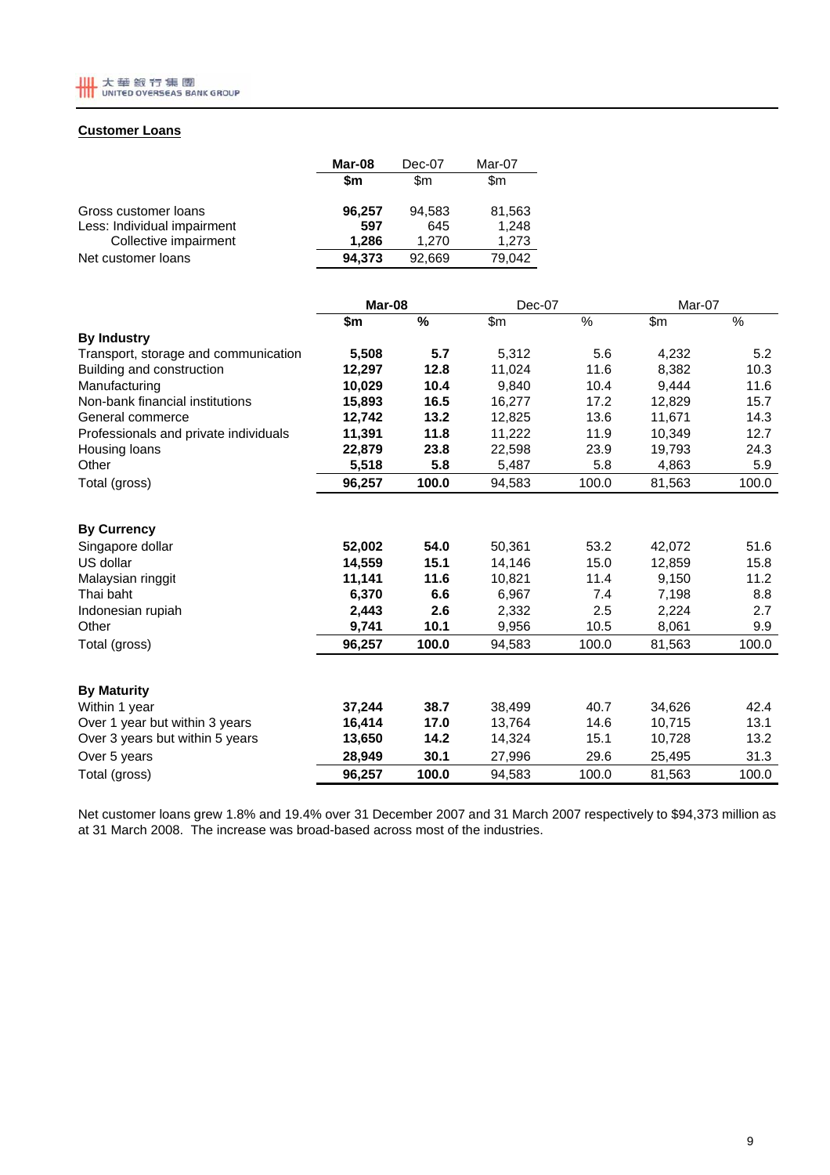

## **Customer Loans**

|                                                                              | Mar-08                 | Dec-07                 | Mar-07                   |
|------------------------------------------------------------------------------|------------------------|------------------------|--------------------------|
|                                                                              | \$m                    | \$m                    | \$m                      |
| Gross customer loans<br>Less: Individual impairment<br>Collective impairment | 96,257<br>597<br>1.286 | 94.583<br>645<br>1.270 | 81,563<br>1,248<br>1,273 |
| Net customer loans                                                           | 94.373                 | 92.669                 | 79.042                   |

|                                       | Mar-08 |       | Dec-07 |               | Mar-07 |       |
|---------------------------------------|--------|-------|--------|---------------|--------|-------|
|                                       | \$m    | %     | \$m\$  | $\frac{9}{6}$ | \$m\$  | %     |
| <b>By Industry</b>                    |        |       |        |               |        |       |
| Transport, storage and communication  | 5,508  | 5.7   | 5,312  | 5.6           | 4,232  | 5.2   |
| Building and construction             | 12,297 | 12.8  | 11.024 | 11.6          | 8,382  | 10.3  |
| Manufacturing                         | 10,029 | 10.4  | 9,840  | 10.4          | 9.444  | 11.6  |
| Non-bank financial institutions       | 15,893 | 16.5  | 16,277 | 17.2          | 12,829 | 15.7  |
| General commerce                      | 12,742 | 13.2  | 12,825 | 13.6          | 11,671 | 14.3  |
| Professionals and private individuals | 11,391 | 11.8  | 11,222 | 11.9          | 10,349 | 12.7  |
| Housing loans                         | 22,879 | 23.8  | 22,598 | 23.9          | 19,793 | 24.3  |
| Other                                 | 5,518  | 5.8   | 5,487  | 5.8           | 4,863  | 5.9   |
| Total (gross)                         | 96,257 | 100.0 | 94,583 | 100.0         | 81,563 | 100.0 |
| <b>By Currency</b>                    |        |       |        |               |        |       |
| Singapore dollar                      | 52,002 | 54.0  | 50,361 | 53.2          | 42,072 | 51.6  |
| US dollar                             | 14,559 | 15.1  | 14,146 | 15.0          | 12,859 | 15.8  |
| Malaysian ringgit                     | 11,141 | 11.6  | 10,821 | 11.4          | 9,150  | 11.2  |
| Thai baht                             | 6,370  | 6.6   | 6,967  | 7.4           | 7,198  | 8.8   |
| Indonesian rupiah                     | 2,443  | 2.6   | 2,332  | 2.5           | 2,224  | 2.7   |
| Other                                 | 9,741  | 10.1  | 9,956  | 10.5          | 8,061  | 9.9   |
| Total (gross)                         | 96,257 | 100.0 | 94,583 | 100.0         | 81,563 | 100.0 |
| <b>By Maturity</b>                    |        |       |        |               |        |       |
| Within 1 year                         | 37,244 | 38.7  | 38,499 | 40.7          | 34,626 | 42.4  |
| Over 1 year but within 3 years        | 16,414 | 17.0  | 13,764 | 14.6          | 10,715 | 13.1  |
| Over 3 years but within 5 years       | 13,650 | 14.2  | 14,324 | 15.1          | 10,728 | 13.2  |
| Over 5 years                          | 28,949 | 30.1  | 27,996 | 29.6          | 25,495 | 31.3  |
| Total (gross)                         | 96,257 | 100.0 | 94,583 | 100.0         | 81,563 | 100.0 |

Net customer loans grew 1.8% and 19.4% over 31 December 2007 and 31 March 2007 respectively to \$94,373 million as at 31 March 2008. The increase was broad-based across most of the industries.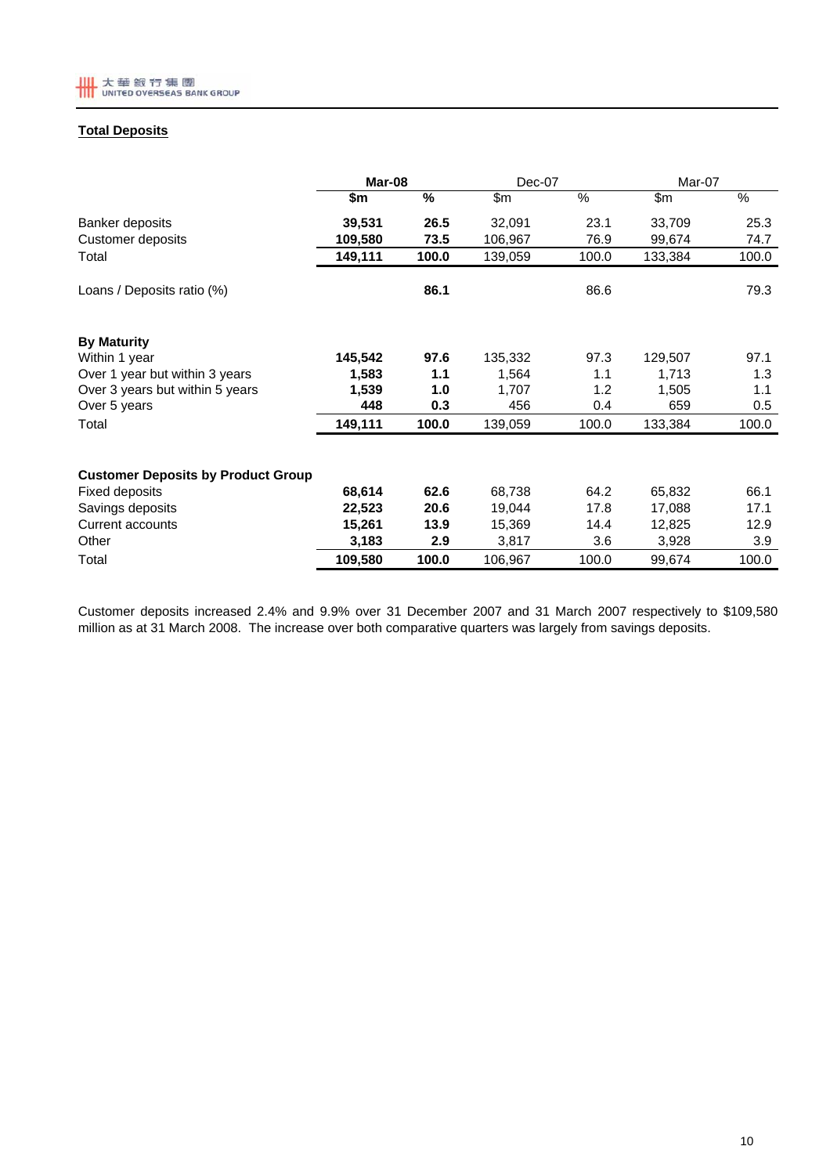

## **Total Deposits**

|                                           | Mar-08  |               | Dec-07  |       | Mar-07  |       |
|-------------------------------------------|---------|---------------|---------|-------|---------|-------|
|                                           | \$m     | $\frac{9}{6}$ | \$m\$   | %     | \$m\$   | %     |
| Banker deposits                           | 39,531  | 26.5          | 32,091  | 23.1  | 33,709  | 25.3  |
| Customer deposits                         | 109,580 | 73.5          | 106,967 | 76.9  | 99,674  | 74.7  |
| Total                                     | 149,111 | 100.0         | 139,059 | 100.0 | 133,384 | 100.0 |
| Loans / Deposits ratio (%)                |         | 86.1          |         | 86.6  |         | 79.3  |
| <b>By Maturity</b>                        |         |               |         |       |         |       |
| Within 1 year                             | 145,542 | 97.6          | 135,332 | 97.3  | 129,507 | 97.1  |
| Over 1 year but within 3 years            | 1,583   | 1.1           | 1,564   | 1.1   | 1,713   | 1.3   |
| Over 3 years but within 5 years           | 1,539   | 1.0           | 1,707   | 1.2   | 1,505   | 1.1   |
| Over 5 years                              | 448     | 0.3           | 456     | 0.4   | 659     | 0.5   |
| Total                                     | 149,111 | 100.0         | 139,059 | 100.0 | 133,384 | 100.0 |
| <b>Customer Deposits by Product Group</b> |         |               |         |       |         |       |
| <b>Fixed deposits</b>                     | 68,614  | 62.6          | 68,738  | 64.2  | 65,832  | 66.1  |
| Savings deposits                          | 22,523  | 20.6          | 19,044  | 17.8  | 17,088  | 17.1  |
| Current accounts                          | 15,261  | 13.9          | 15,369  | 14.4  | 12,825  | 12.9  |
| Other                                     | 3,183   | 2.9           | 3,817   | 3.6   | 3,928   | 3.9   |
| Total                                     | 109,580 | 100.0         | 106,967 | 100.0 | 99,674  | 100.0 |

Customer deposits increased 2.4% and 9.9% over 31 December 2007 and 31 March 2007 respectively to \$109,580 million as at 31 March 2008. The increase over both comparative quarters was largely from savings deposits.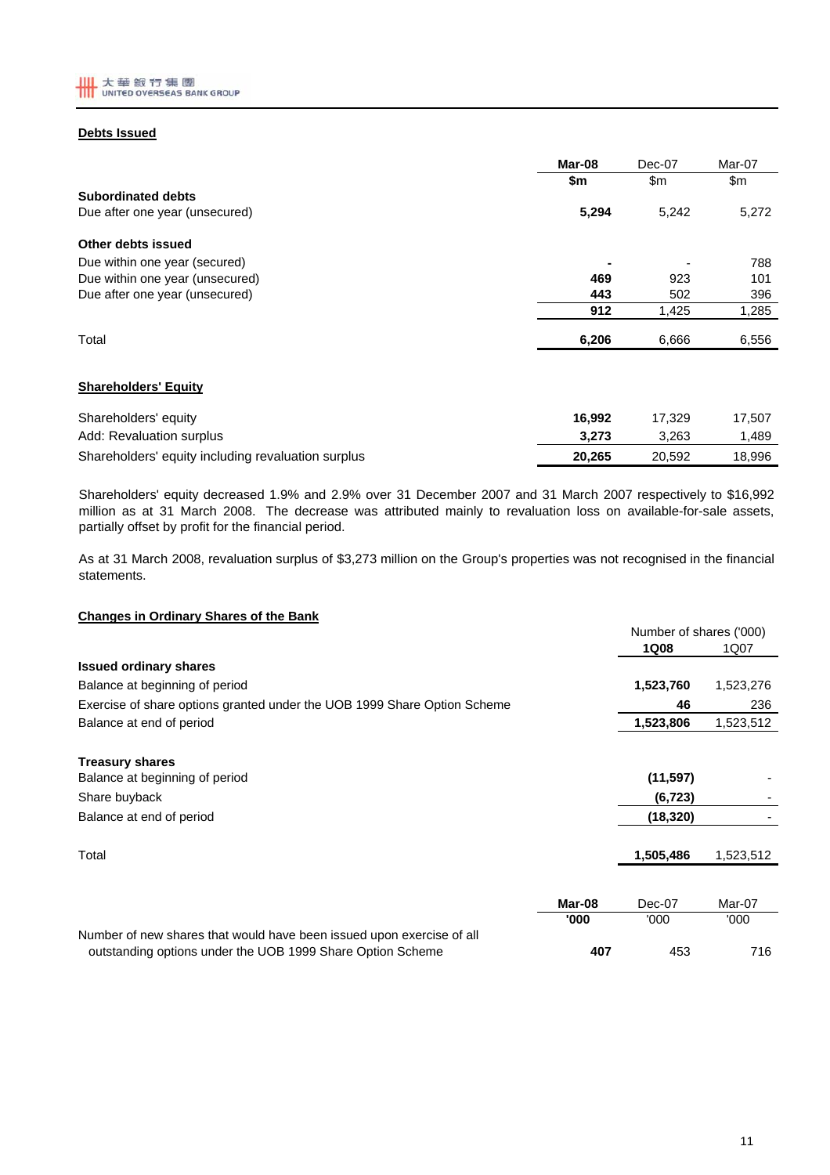

### **Debts Issued**

|                                 | Mar-08 | Dec-07 | Mar-07 |
|---------------------------------|--------|--------|--------|
|                                 | \$m    | \$m    | \$m    |
| <b>Subordinated debts</b>       |        |        |        |
| Due after one year (unsecured)  | 5,294  | 5.242  | 5,272  |
| Other debts issued              |        |        |        |
| Due within one year (secured)   |        |        | 788    |
| Due within one year (unsecured) | 469    | 923    | 101    |
| Due after one year (unsecured)  | 443    | 502    | 396    |
|                                 | 912    | 1,425  | 1,285  |
| Total                           | 6,206  | 6,666  | 6,556  |
|                                 |        |        |        |

### **Shareholders' Equity**

| Shareholders' equity                               | 16.992 | 17.329 | 17.507 |
|----------------------------------------------------|--------|--------|--------|
| Add: Revaluation surplus                           | 3.273  | 3.263  | ∣.489  |
| Shareholders' equity including revaluation surplus | 20.265 | 20.592 | 18.996 |

Shareholders' equity decreased 1.9% and 2.9% over 31 December 2007 and 31 March 2007 respectively to \$16,992 million as at 31 March 2008. The decrease was attributed mainly to revaluation loss on available-for-sale assets, partially offset by profit for the financial period.

As at 31 March 2008, revaluation surplus of \$3,273 million on the Group's properties was not recognised in the financial statements.

### **Changes in Ordinary Shares of the Bank**

|                                                                                                                                     |        | Number of shares ('000) |           |  |
|-------------------------------------------------------------------------------------------------------------------------------------|--------|-------------------------|-----------|--|
|                                                                                                                                     |        | <b>1Q08</b>             | 1Q07      |  |
| <b>Issued ordinary shares</b>                                                                                                       |        |                         |           |  |
| Balance at beginning of period                                                                                                      |        | 1,523,760               | 1,523,276 |  |
| Exercise of share options granted under the UOB 1999 Share Option Scheme                                                            |        | 46                      | 236       |  |
| Balance at end of period                                                                                                            |        | 1,523,806               | 1,523,512 |  |
| <b>Treasury shares</b>                                                                                                              |        |                         |           |  |
| Balance at beginning of period                                                                                                      |        | (11, 597)               |           |  |
| Share buyback                                                                                                                       |        | (6, 723)                |           |  |
| Balance at end of period                                                                                                            |        | (18, 320)               |           |  |
| Total                                                                                                                               |        | 1,505,486               | 1,523,512 |  |
|                                                                                                                                     |        |                         |           |  |
|                                                                                                                                     | Mar-08 | Dec-07                  | Mar-07    |  |
|                                                                                                                                     | '000   | '000                    | '000      |  |
| Number of new shares that would have been issued upon exercise of all<br>outstanding options under the UOB 1999 Share Option Scheme | 407    | 453                     | 716       |  |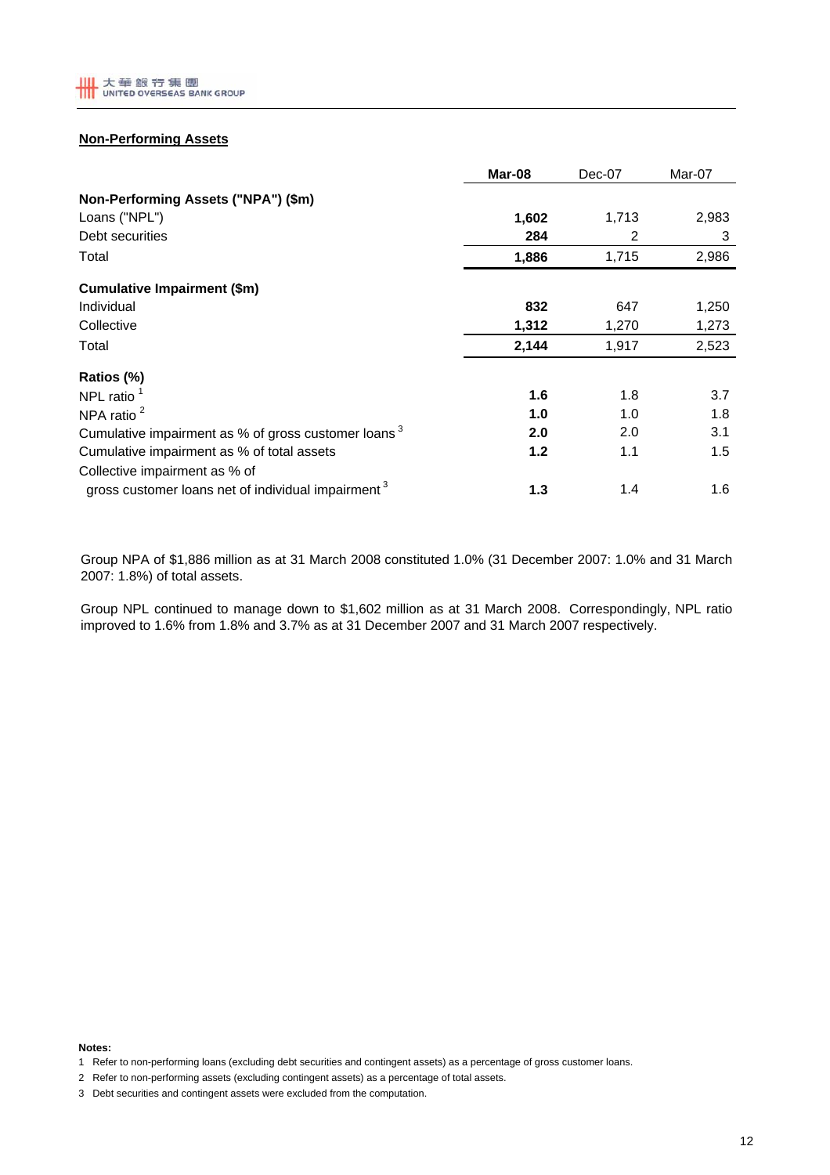

# **Non-Performing Assets**

|                                                                 | Mar-08 | Dec-07 | Mar-07 |
|-----------------------------------------------------------------|--------|--------|--------|
| Non-Performing Assets ("NPA") (\$m)                             |        |        |        |
| Loans ("NPL")                                                   | 1,602  | 1,713  | 2,983  |
| Debt securities                                                 | 284    | 2      | 3      |
| Total                                                           | 1,886  | 1,715  | 2,986  |
| <b>Cumulative Impairment (\$m)</b>                              |        |        |        |
| Individual                                                      | 832    | 647    | 1,250  |
| Collective                                                      | 1,312  | 1,270  | 1,273  |
| Total                                                           | 2,144  | 1,917  | 2,523  |
| Ratios (%)                                                      |        |        |        |
| NPL ratio $1$                                                   | 1.6    | 1.8    | 3.7    |
| NPA ratio <sup>2</sup>                                          | 1.0    | 1.0    | 1.8    |
| Cumulative impairment as % of gross customer loans <sup>3</sup> | 2.0    | 2.0    | 3.1    |
| Cumulative impairment as % of total assets                      | 1.2    | 1.1    | 1.5    |
| Collective impairment as % of                                   |        |        |        |
| gross customer loans net of individual impairment <sup>3</sup>  | 1.3    | 1.4    | 1.6    |

Group NPA of \$1,886 million as at 31 March 2008 constituted 1.0% (31 December 2007: 1.0% and 31 March 2007: 1.8%) of total assets.

Group NPL continued to manage down to \$1,602 million as at 31 March 2008. Correspondingly, NPL ratio improved to 1.6% from 1.8% and 3.7% as at 31 December 2007 and 31 March 2007 respectively.

**Notes:**

<sup>1</sup> Refer to non-performing loans (excluding debt securities and contingent assets) as a percentage of gross customer loans.

<sup>2</sup> Refer to non-performing assets (excluding contingent assets) as a percentage of total assets.

<sup>3</sup> Debt securities and contingent assets were excluded from the computation.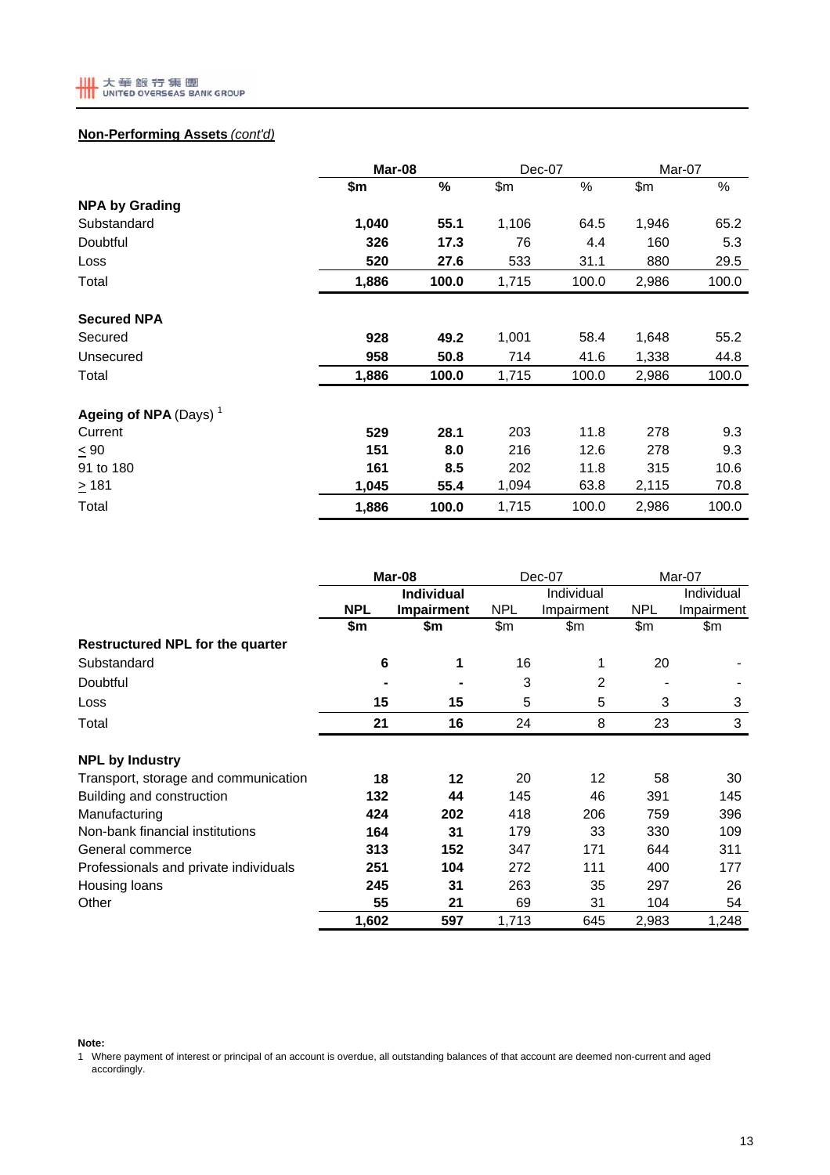

# **Non-Performing Assets** *(cont'd)*

|                                   |       | Mar-08 |       | Dec-07 | Mar-07 |       |
|-----------------------------------|-------|--------|-------|--------|--------|-------|
|                                   | \$m   | %      | \$m   | %      | \$m    | %     |
| <b>NPA by Grading</b>             |       |        |       |        |        |       |
| Substandard                       | 1,040 | 55.1   | 1,106 | 64.5   | 1,946  | 65.2  |
| Doubtful                          | 326   | 17.3   | 76    | 4.4    | 160    | 5.3   |
| Loss                              | 520   | 27.6   | 533   | 31.1   | 880    | 29.5  |
| Total                             | 1,886 | 100.0  | 1,715 | 100.0  | 2,986  | 100.0 |
| <b>Secured NPA</b>                |       |        |       |        |        |       |
| Secured                           | 928   | 49.2   | 1,001 | 58.4   | 1,648  | 55.2  |
| Unsecured                         | 958   | 50.8   | 714   | 41.6   | 1,338  | 44.8  |
| Total                             | 1,886 | 100.0  | 1,715 | 100.0  | 2,986  | 100.0 |
| Ageing of NPA (Days) <sup>1</sup> |       |        |       |        |        |       |
| Current                           | 529   | 28.1   | 203   | 11.8   | 278    | 9.3   |
| $\leq 90$                         | 151   | 8.0    | 216   | 12.6   | 278    | 9.3   |
| 91 to 180                         | 161   | 8.5    | 202   | 11.8   | 315    | 10.6  |
| $\geq 181$                        | 1,045 | 55.4   | 1,094 | 63.8   | 2,115  | 70.8  |
| Total                             | 1,886 | 100.0  | 1,715 | 100.0  | 2,986  | 100.0 |

|                                         | Mar-08     |                   | Dec-07     |            | Mar-07     |            |  |
|-----------------------------------------|------------|-------------------|------------|------------|------------|------------|--|
|                                         |            | <b>Individual</b> |            | Individual |            | Individual |  |
|                                         | <b>NPL</b> | Impairment        | <b>NPL</b> | Impairment | <b>NPL</b> | Impairment |  |
|                                         | \$m        | \$m               | \$m\$      | \$m        | \$m\$      | \$m        |  |
| <b>Restructured NPL for the quarter</b> |            |                   |            |            |            |            |  |
| Substandard                             | 6          | 1                 | 16         | 1          | 20         |            |  |
| Doubtful                                |            |                   | 3          | 2          |            |            |  |
| Loss                                    | 15         | 15                | 5          | 5          | 3          | 3          |  |
| Total                                   | 21         | 16                | 24         | 8          | 23         | 3          |  |
| <b>NPL by Industry</b>                  |            |                   |            |            |            |            |  |
| Transport, storage and communication    | 18         | $12 \,$           | 20         | 12         | 58         | 30         |  |
| Building and construction               | 132        | 44                | 145        | 46         | 391        | 145        |  |
| Manufacturing                           | 424        | 202               | 418        | 206        | 759        | 396        |  |
| Non-bank financial institutions         | 164        | 31                | 179        | 33         | 330        | 109        |  |
| General commerce                        | 313        | 152               | 347        | 171        | 644        | 311        |  |
| Professionals and private individuals   | 251        | 104               | 272        | 111        | 400        | 177        |  |
| Housing loans                           | 245        | 31                | 263        | 35         | 297        | 26         |  |
| Other                                   | 55         | 21                | 69         | 31         | 104        | 54         |  |
|                                         | 1,602      | 597               | 1,713      | 645        | 2,983      | 1,248      |  |

**Note:**

1 Where payment of interest or principal of an account is overdue, all outstanding balances of that account are deemed non-current and aged accordingly.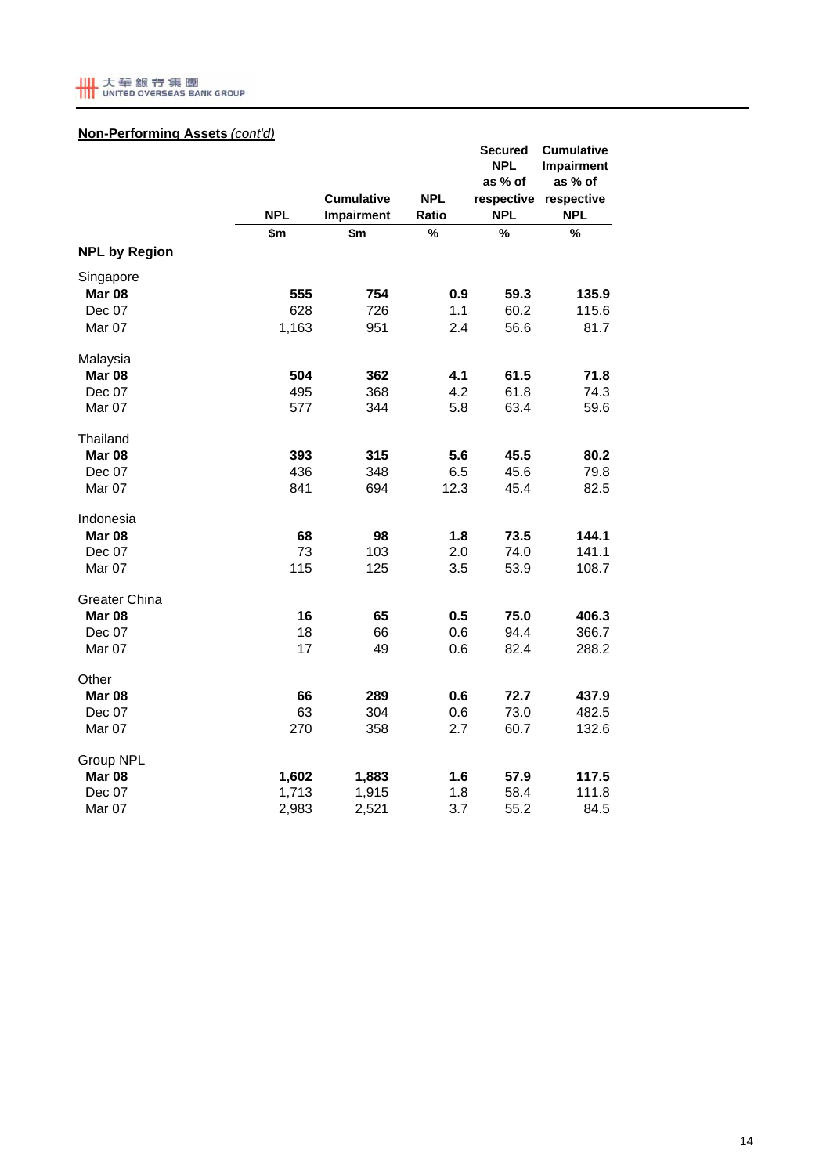

## **Non-Performing Assets** *(cont'd)*

|                      | <b>NPL</b> | <b>Cumulative</b><br>Impairment | <b>NPL</b><br>Ratio | <b>Secured</b><br><b>NPL</b><br>as % of<br>respective<br><b>NPL</b> | <b>Cumulative</b><br>Impairment<br>as % of<br>respective<br><b>NPL</b> |
|----------------------|------------|---------------------------------|---------------------|---------------------------------------------------------------------|------------------------------------------------------------------------|
|                      | \$m        | \$m                             | $\frac{9}{6}$       | %                                                                   | %                                                                      |
| <b>NPL by Region</b> |            |                                 |                     |                                                                     |                                                                        |
| Singapore            |            |                                 |                     |                                                                     |                                                                        |
| <b>Mar 08</b>        | 555        | 754                             | 0.9                 | 59.3                                                                | 135.9                                                                  |
| Dec 07               | 628        | 726                             | 1.1                 | 60.2                                                                | 115.6                                                                  |
| Mar 07               | 1,163      | 951                             | 2.4                 | 56.6                                                                | 81.7                                                                   |
| Malaysia             |            |                                 |                     |                                                                     |                                                                        |
| <b>Mar 08</b>        | 504        | 362                             | 4.1                 | 61.5                                                                | 71.8                                                                   |
| Dec 07               | 495        | 368                             | 4.2                 | 61.8                                                                | 74.3                                                                   |
| Mar 07               | 577        | 344                             | 5.8                 | 63.4                                                                | 59.6                                                                   |
| Thailand             |            |                                 |                     |                                                                     |                                                                        |
| Mar 08               | 393        | 315                             | 5.6                 | 45.5                                                                | 80.2                                                                   |
| Dec 07               | 436        | 348                             | 6.5                 | 45.6                                                                | 79.8                                                                   |
| Mar 07               | 841        | 694                             | 12.3                | 45.4                                                                | 82.5                                                                   |
| Indonesia            |            |                                 |                     |                                                                     |                                                                        |
| Mar 08               | 68         | 98                              | 1.8                 | 73.5                                                                | 144.1                                                                  |
| Dec 07               | 73         | 103                             | 2.0                 | 74.0                                                                | 141.1                                                                  |
| Mar 07               | 115        | 125                             | 3.5                 | 53.9                                                                | 108.7                                                                  |
| <b>Greater China</b> |            |                                 |                     |                                                                     |                                                                        |
| <b>Mar 08</b>        | 16         | 65                              | 0.5                 | 75.0                                                                | 406.3                                                                  |
| Dec 07               | 18         | 66                              | 0.6                 | 94.4                                                                | 366.7                                                                  |
| Mar 07               | 17         | 49                              | 0.6                 | 82.4                                                                | 288.2                                                                  |
| Other                |            |                                 |                     |                                                                     |                                                                        |
| <b>Mar 08</b>        | 66         | 289                             | 0.6                 | 72.7                                                                | 437.9                                                                  |
| Dec 07               | 63         | 304                             | 0.6                 | 73.0                                                                | 482.5                                                                  |
| Mar 07               | 270        | 358                             | 2.7                 | 60.7                                                                | 132.6                                                                  |
| Group NPL            |            |                                 |                     |                                                                     |                                                                        |
| Mar <sub>08</sub>    | 1,602      | 1,883                           | 1.6                 | 57.9                                                                | 117.5                                                                  |
| Dec 07               | 1,713      | 1,915                           | 1.8                 | 58.4                                                                | 111.8                                                                  |
| Mar 07               | 2,983      | 2,521                           | 3.7                 | 55.2                                                                | 84.5                                                                   |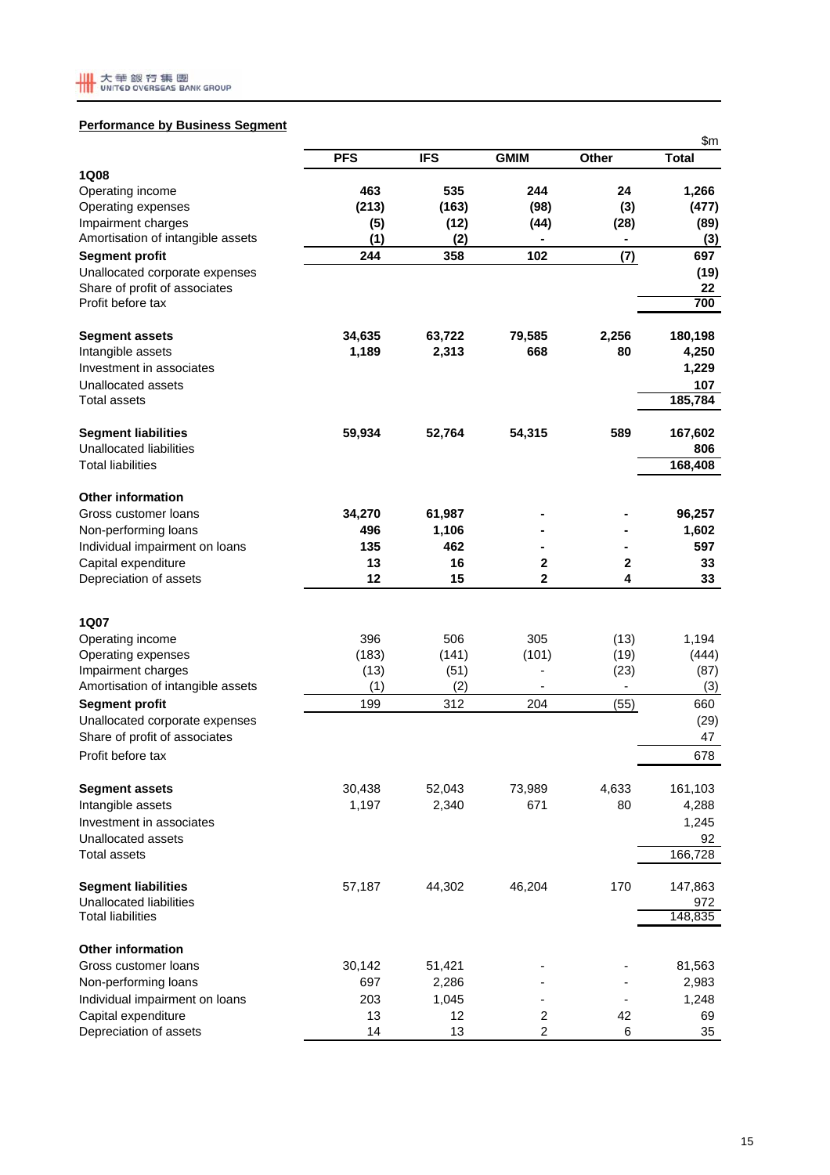

## **Performance by Business Segment**

|                                          |               |               |                  |                          | \$m           |
|------------------------------------------|---------------|---------------|------------------|--------------------------|---------------|
|                                          | <b>PFS</b>    | <b>IFS</b>    | <b>GMIM</b>      | Other                    | <b>Total</b>  |
| <b>1Q08</b>                              |               |               |                  |                          |               |
| Operating income                         | 463           | 535           | 244              | 24                       | 1,266         |
| Operating expenses<br>Impairment charges | (213)         | (163)<br>(12) | (98)             | (3)<br>(28)              | (477)<br>(89) |
| Amortisation of intangible assets        | (5)<br>(1)    | (2)           | (44)             |                          | (3)           |
| <b>Segment profit</b>                    | 244           | 358           | 102              | (7)                      | 697           |
| Unallocated corporate expenses           |               |               |                  |                          | (19)          |
| Share of profit of associates            |               |               |                  |                          | 22            |
| Profit before tax                        |               |               |                  |                          | 700           |
| <b>Segment assets</b>                    | 34,635        | 63,722        | 79,585           | 2,256                    | 180,198       |
| Intangible assets                        | 1,189         | 2,313         | 668              | 80                       | 4,250         |
| Investment in associates                 |               |               |                  |                          | 1,229         |
| Unallocated assets                       |               |               |                  |                          | 107           |
| <b>Total assets</b>                      |               |               |                  |                          | 185,784       |
| <b>Segment liabilities</b>               | 59,934        | 52,764        | 54,315           | 589                      | 167,602       |
| <b>Unallocated liabilities</b>           |               |               |                  |                          | 806           |
| <b>Total liabilities</b>                 |               |               |                  |                          | 168,408       |
| <b>Other information</b>                 |               |               |                  |                          |               |
| Gross customer loans                     | 34,270        | 61,987        |                  |                          | 96,257        |
| Non-performing loans                     | 496           | 1,106         |                  |                          | 1,602         |
| Individual impairment on loans           | 135           | 462           |                  |                          | 597           |
| Capital expenditure                      | 13            | 16            | 2                | 2                        | 33            |
| Depreciation of assets                   | 12            | 15            | 2                | 4                        | 33            |
|                                          |               |               |                  |                          |               |
| 1Q07                                     |               |               |                  |                          |               |
| Operating income                         | 396           | 506           | 305              | (13)                     | 1,194         |
| Operating expenses<br>Impairment charges | (183)<br>(13) | (141)<br>(51) | (101)            | (19)<br>(23)             | (444)<br>(87) |
| Amortisation of intangible assets        | (1)           | (2)           | $\blacksquare$   | $\overline{\phantom{a}}$ | (3)           |
| <b>Segment profit</b>                    | 199           | 312           | 204              | (55)                     | 660           |
| Unallocated corporate expenses           |               |               |                  |                          | (29)          |
| Share of profit of associates            |               |               |                  |                          | 47            |
| Profit before tax                        |               |               |                  |                          | 678           |
| <b>Segment assets</b>                    | 30,438        | 52,043        | 73,989           | 4,633                    | 161,103       |
| Intangible assets                        | 1,197         | 2,340         | 671              | 80                       | 4,288         |
| Investment in associates                 |               |               |                  |                          | 1,245         |
| Unallocated assets                       |               |               |                  |                          | 92            |
| <b>Total assets</b>                      |               |               |                  |                          | 166,728       |
| <b>Segment liabilities</b>               | 57,187        | 44,302        | 46,204           | 170                      | 147,863       |
| Unallocated liabilities                  |               |               |                  |                          | 972           |
| <b>Total liabilities</b>                 |               |               |                  |                          | 148,835       |
| <b>Other information</b>                 |               |               |                  |                          |               |
| Gross customer loans                     | 30,142        | 51,421        |                  |                          | 81,563        |
| Non-performing loans                     | 697           | 2,286         |                  |                          | 2,983         |
| Individual impairment on loans           | 203           | 1,045         |                  |                          | 1,248         |
| Capital expenditure                      | 13            | 12            | $\boldsymbol{2}$ | 42                       | 69            |
| Depreciation of assets                   | 14            | 13            | 2                | 6                        | 35            |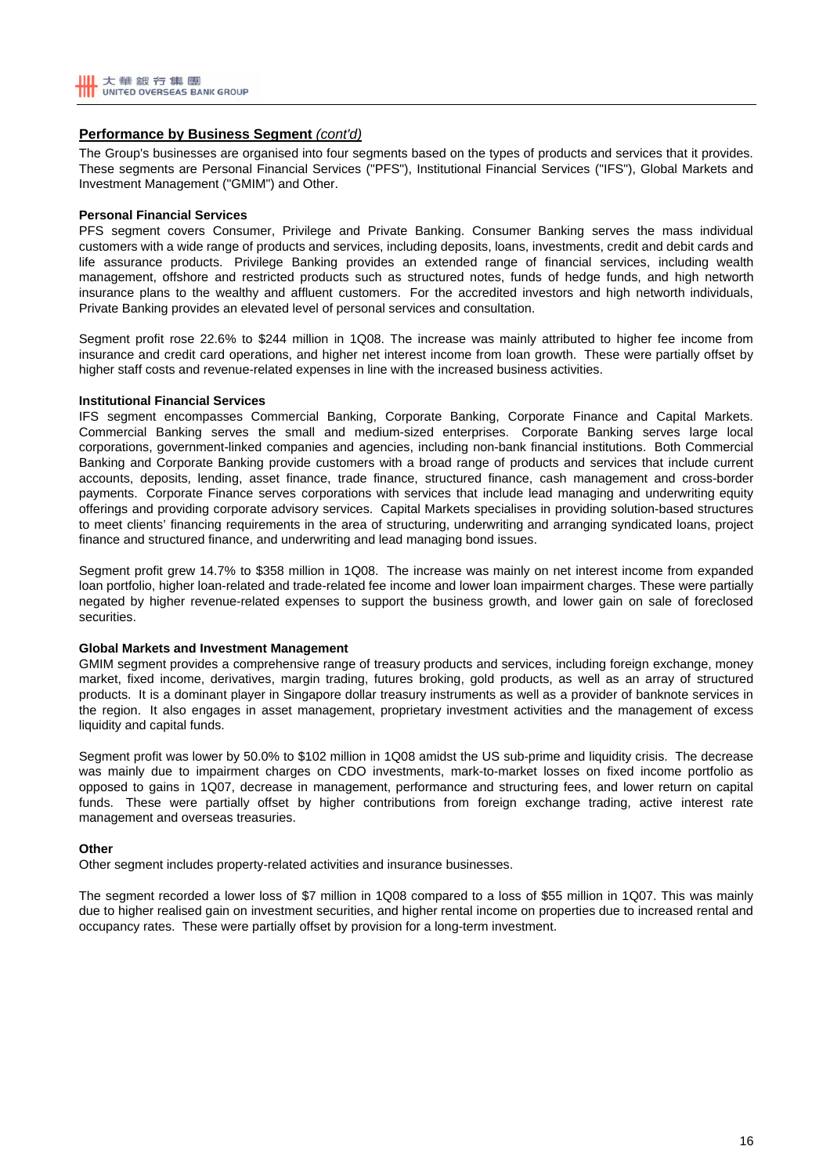

#### **Performance by Business Segment** *(cont'd)*

The Group's businesses are organised into four segments based on the types of products and services that it provides. These segments are Personal Financial Services ("PFS"), Institutional Financial Services ("IFS"), Global Markets and Investment Management ("GMIM") and Other.

#### **Personal Financial Services**

PFS segment covers Consumer, Privilege and Private Banking. Consumer Banking serves the mass individual customers with a wide range of products and services, including deposits, loans, investments, credit and debit cards and life assurance products. Privilege Banking provides an extended range of financial services, including wealth management, offshore and restricted products such as structured notes, funds of hedge funds, and high networth insurance plans to the wealthy and affluent customers. For the accredited investors and high networth individuals, Private Banking provides an elevated level of personal services and consultation.

Segment profit rose 22.6% to \$244 million in 1Q08. The increase was mainly attributed to higher fee income from insurance and credit card operations, and higher net interest income from loan growth. These were partially offset by higher staff costs and revenue-related expenses in line with the increased business activities.

#### **Institutional Financial Services**

IFS segment encompasses Commercial Banking, Corporate Banking, Corporate Finance and Capital Markets. Commercial Banking serves the small and medium-sized enterprises. Corporate Banking serves large local corporations, government-linked companies and agencies, including non-bank financial institutions. Both Commercial Banking and Corporate Banking provide customers with a broad range of products and services that include current accounts, deposits, lending, asset finance, trade finance, structured finance, cash management and cross-border payments. Corporate Finance serves corporations with services that include lead managing and underwriting equity offerings and providing corporate advisory services. Capital Markets specialises in providing solution-based structures to meet clients' financing requirements in the area of structuring, underwriting and arranging syndicated loans, project finance and structured finance, and underwriting and lead managing bond issues.

Segment profit grew 14.7% to \$358 million in 1Q08. The increase was mainly on net interest income from expanded loan portfolio, higher loan-related and trade-related fee income and lower loan impairment charges. These were partially negated by higher revenue-related expenses to support the business growth, and lower gain on sale of foreclosed securities.

#### **Global Markets and Investment Management**

GMIM segment provides a comprehensive range of treasury products and services, including foreign exchange, money market, fixed income, derivatives, margin trading, futures broking, gold products, as well as an array of structured products. It is a dominant player in Singapore dollar treasury instruments as well as a provider of banknote services in the region. It also engages in asset management, proprietary investment activities and the management of excess liquidity and capital funds.

Segment profit was lower by 50.0% to \$102 million in 1Q08 amidst the US sub-prime and liquidity crisis. The decrease was mainly due to impairment charges on CDO investments, mark-to-market losses on fixed income portfolio as opposed to gains in 1Q07, decrease in management, performance and structuring fees, and lower return on capital funds. These were partially offset by higher contributions from foreign exchange trading, active interest rate management and overseas treasuries.

#### **Other**

Other segment includes property-related activities and insurance businesses.

The segment recorded a lower loss of \$7 million in 1Q08 compared to a loss of \$55 million in 1Q07. This was mainly due to higher realised gain on investment securities, and higher rental income on properties due to increased rental and occupancy rates. These were partially offset by provision for a long-term investment.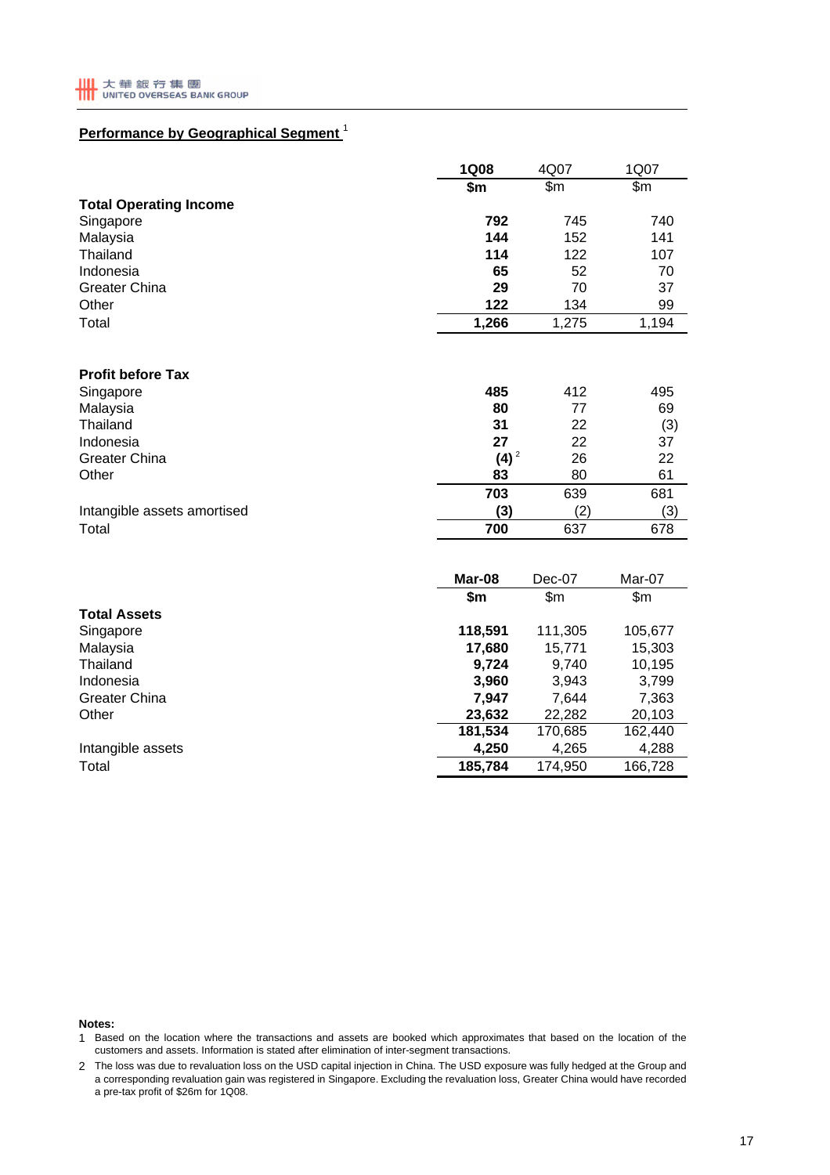# **Performance by Geographical Segment** <sup>1</sup>

|                               | <b>1Q08</b>    | 4Q07           | 1Q07           |
|-------------------------------|----------------|----------------|----------------|
|                               | \$m            | \$m\$          | \$m\$          |
| <b>Total Operating Income</b> |                |                |                |
| Singapore                     | 792            | 745            | 740            |
| Malaysia                      | 144            | 152            | 141            |
| Thailand                      | 114            | 122            | 107            |
| Indonesia                     | 65             | 52             | 70             |
| <b>Greater China</b>          | 29             | 70             | 37             |
| Other                         | 122            | 134            | 99             |
| Total                         | 1,266          | 1,275          | 1,194          |
|                               |                |                |                |
| <b>Profit before Tax</b>      |                |                |                |
| Singapore                     | 485            | 412            | 495            |
| Malaysia                      | 80             | 77             | 69             |
| Thailand                      | 31             | 22             | (3)            |
| Indonesia                     | 27             | 22             | 37             |
| <b>Greater China</b>          | $(4)^2$        | 26             | 22             |
| Other                         | 83             | 80             | 61             |
|                               | 703            | 639            | 681            |
| Intangible assets amortised   | (3)            | (2)            | (3)            |
| Total                         | 700            | 637            | 678            |
|                               | Mar-08         |                |                |
|                               |                | Dec-07         | Mar-07         |
|                               | \$m            | \$m\$          | \$m            |
| <b>Total Assets</b>           |                |                |                |
| Singapore                     | 118,591        | 111,305        | 105,677        |
| Malaysia                      | 17,680         | 15,771         | 15,303         |
| Thailand<br>Indonesia         | 9,724          | 9,740          | 10,195         |
| <b>Greater China</b>          | 3,960<br>7,947 | 3,943<br>7,644 | 3,799<br>7,363 |
| Other                         | 23,632         | 22,282         | 20,103         |
|                               | 181,534        | 170,685        | 162,440        |
| Intangible assets             | 4,250          | 4,265          | 4,288          |
|                               |                |                |                |
| Total                         | 185,784        | 174,950        | 166,728        |

**Notes:**

1 Based on the location where the transactions and assets are booked which approximates that based on the location of the customers and assets. Information is stated after elimination of inter-segment transactions.

2 The loss was due to revaluation loss on the USD capital injection in China. The USD exposure was fully hedged at the Group and a corresponding revaluation gain was registered in Singapore. Excluding the revaluation loss, Greater China would have recorded a pre-tax profit of \$26m for 1Q08.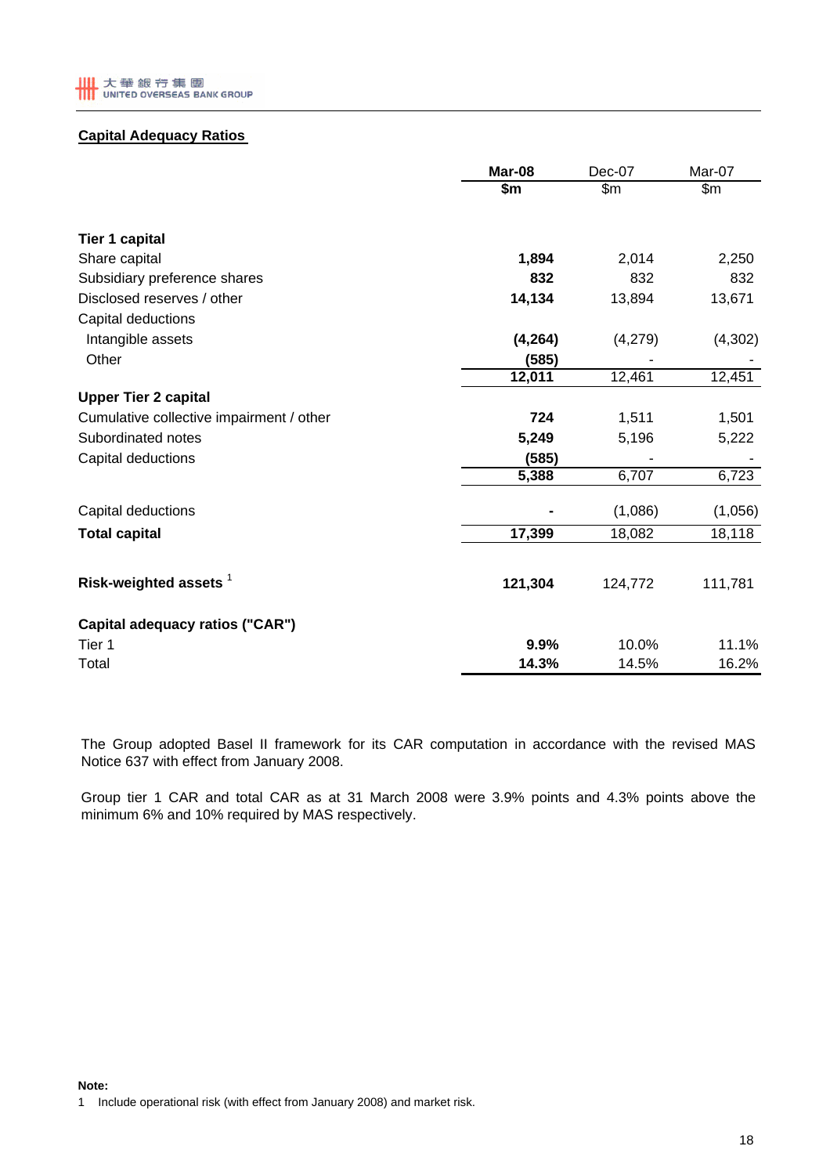

# **Capital Adequacy Ratios**

|                                          | Mar-08   | Dec-07        | Mar-07  |
|------------------------------------------|----------|---------------|---------|
|                                          | \$m      | $\mathsf{Sm}$ | \$m\$   |
| <b>Tier 1 capital</b>                    |          |               |         |
| Share capital                            | 1,894    | 2,014         | 2,250   |
| Subsidiary preference shares             | 832      | 832           | 832     |
| Disclosed reserves / other               | 14,134   | 13,894        | 13,671  |
| Capital deductions                       |          |               |         |
| Intangible assets                        | (4, 264) | (4,279)       | (4,302) |
| Other                                    | (585)    |               |         |
|                                          | 12,011   | 12,461        | 12,451  |
| <b>Upper Tier 2 capital</b>              |          |               |         |
| Cumulative collective impairment / other | 724      | 1,511         | 1,501   |
| Subordinated notes                       | 5,249    | 5,196         | 5,222   |
| Capital deductions                       | (585)    |               |         |
|                                          | 5,388    | 6,707         | 6,723   |
| Capital deductions                       |          | (1,086)       | (1,056) |
| <b>Total capital</b>                     | 17,399   | 18,082        | 18,118  |
|                                          |          |               |         |
| Risk-weighted assets <sup>1</sup>        | 121,304  | 124,772       | 111,781 |
| Capital adequacy ratios ("CAR")          |          |               |         |
| Tier 1                                   | 9.9%     | 10.0%         | 11.1%   |
| Total                                    | 14.3%    | 14.5%         | 16.2%   |

The Group adopted Basel II framework for its CAR computation in accordance with the revised MAS Notice 637 with effect from January 2008.

Group tier 1 CAR and total CAR as at 31 March 2008 were 3.9% points and 4.3% points above the minimum 6% and 10% required by MAS respectively.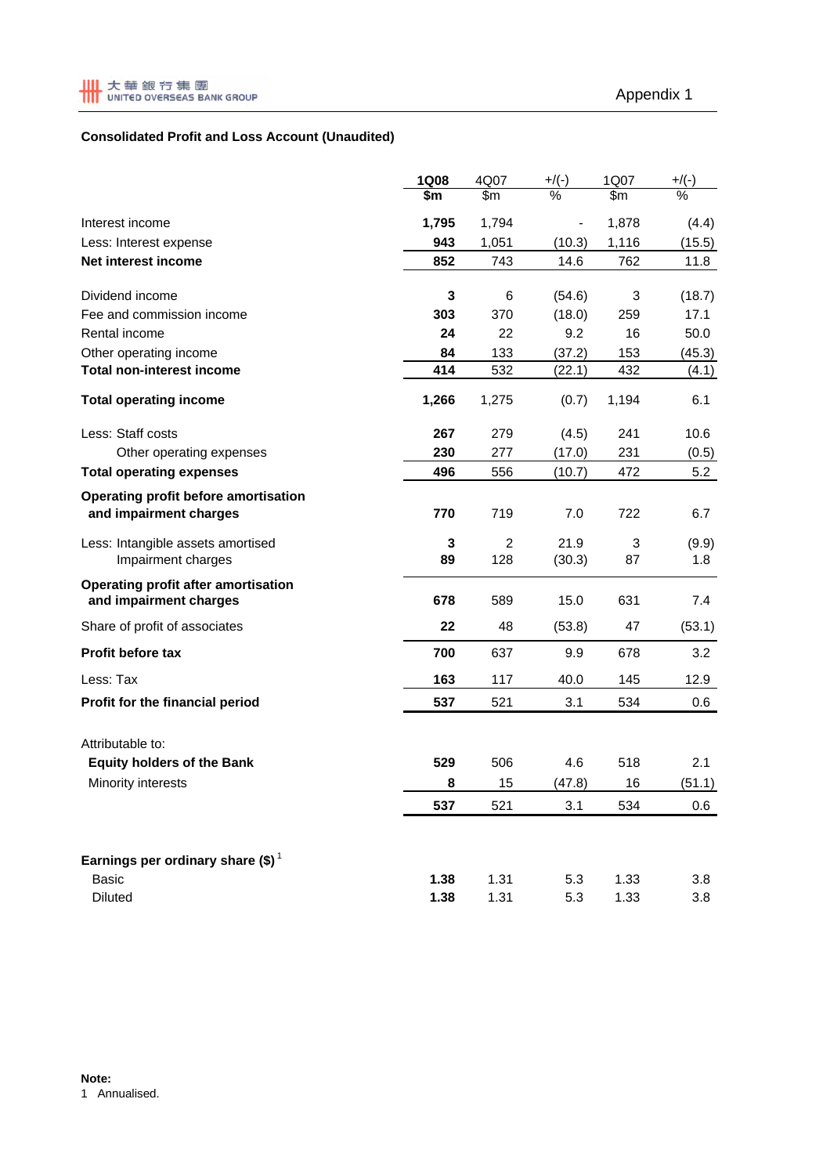# **Consolidated Profit and Loss Account (Unaudited)**

|                                                                | <b>1Q08</b>            | 4Q07                  | $+$ /(-)       | 1Q07    | $+$ /(-)     |
|----------------------------------------------------------------|------------------------|-----------------------|----------------|---------|--------------|
|                                                                | $\overline{\text{sm}}$ | $\mathsf{Sm}$         | %              | \$m     | %            |
| Interest income                                                | 1,795                  | 1,794                 |                | 1,878   | (4.4)        |
| Less: Interest expense                                         | 943                    | 1,051                 | (10.3)         | 1,116   | (15.5)       |
| Net interest income                                            | 852                    | 743                   | 14.6           | 762     | 11.8         |
| Dividend income                                                | 3                      | 6                     | (54.6)         | 3       | (18.7)       |
| Fee and commission income                                      | 303                    | 370                   | (18.0)         | 259     | 17.1         |
| Rental income                                                  | 24                     | 22                    | 9.2            | 16      | 50.0         |
| Other operating income                                         | 84                     | 133                   | (37.2)         | 153     | (45.3)       |
| <b>Total non-interest income</b>                               | 414                    | 532                   | (22.1)         | 432     | (4.1)        |
| <b>Total operating income</b>                                  | 1,266                  | 1,275                 | (0.7)          | 1,194   | 6.1          |
| Less: Staff costs                                              | 267                    | 279                   | (4.5)          | 241     | 10.6         |
| Other operating expenses                                       | 230                    | 277                   | (17.0)         | 231     | (0.5)        |
| <b>Total operating expenses</b>                                | 496                    | 556                   | (10.7)         | 472     | 5.2          |
| Operating profit before amortisation<br>and impairment charges | 770                    | 719                   | 7.0            | 722     | 6.7          |
| Less: Intangible assets amortised<br>Impairment charges        | 3<br>89                | $\overline{2}$<br>128 | 21.9<br>(30.3) | 3<br>87 | (9.9)<br>1.8 |
| Operating profit after amortisation<br>and impairment charges  | 678                    | 589                   | 15.0           | 631     | 7.4          |
| Share of profit of associates                                  | 22                     | 48                    | (53.8)         | 47      | (53.1)       |
| Profit before tax                                              | 700                    | 637                   | 9.9            | 678     | 3.2          |
| Less: Tax                                                      | 163                    | 117                   | 40.0           | 145     | 12.9         |
| Profit for the financial period                                | 537                    | 521                   | 3.1            | 534     | 0.6          |
| Attributable to:                                               |                        |                       |                |         |              |
| <b>Equity holders of the Bank</b>                              | 529                    | 506                   | 4.6            | 518     | 2.1          |
| Minority interests                                             | 8                      | 15                    | (47.8)         | 16      | (51.1)       |
|                                                                | 537                    | 521                   | 3.1            | 534     | 0.6          |
| Earnings per ordinary share (\$) <sup>1</sup>                  |                        |                       |                |         |              |
| <b>Basic</b>                                                   | 1.38                   | 1.31                  | 5.3            | 1.33    | 3.8          |
| <b>Diluted</b>                                                 | 1.38                   | 1.31                  | 5.3            | 1.33    | 3.8          |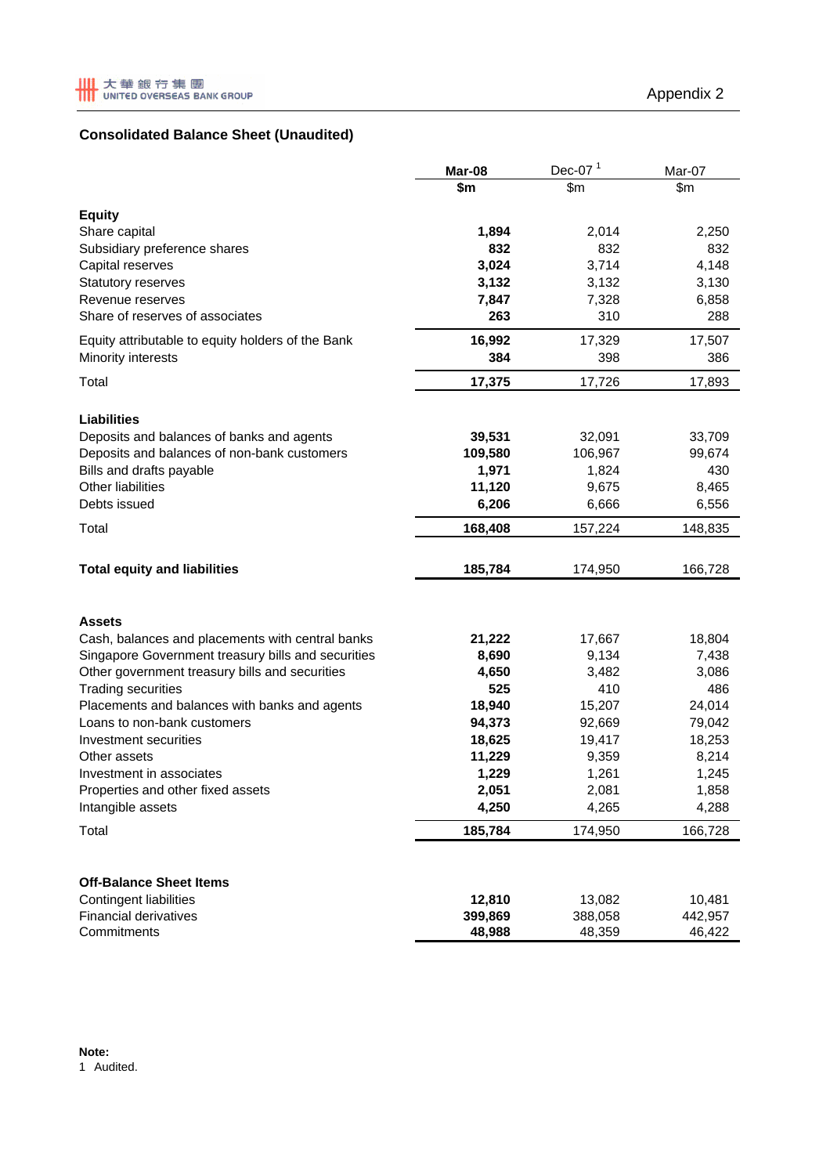# **Consolidated Balance Sheet (Unaudited)**

|                                                    | Mar-08  | Dec-07 $1$ | Mar-07  |
|----------------------------------------------------|---------|------------|---------|
|                                                    | \$m     | \$m\$      | \$m\$   |
| <b>Equity</b>                                      |         |            |         |
| Share capital                                      | 1,894   | 2,014      | 2,250   |
| Subsidiary preference shares                       | 832     | 832        | 832     |
| Capital reserves                                   | 3,024   | 3,714      | 4,148   |
| Statutory reserves                                 | 3,132   | 3,132      | 3,130   |
| Revenue reserves                                   | 7,847   | 7,328      | 6,858   |
| Share of reserves of associates                    | 263     | 310        | 288     |
| Equity attributable to equity holders of the Bank  | 16,992  | 17,329     | 17,507  |
| Minority interests                                 | 384     | 398        | 386     |
| Total                                              | 17,375  | 17,726     | 17,893  |
| <b>Liabilities</b>                                 |         |            |         |
| Deposits and balances of banks and agents          | 39,531  | 32,091     | 33,709  |
| Deposits and balances of non-bank customers        | 109,580 | 106,967    | 99,674  |
| Bills and drafts payable                           | 1,971   | 1,824      | 430     |
| Other liabilities                                  | 11,120  | 9,675      | 8,465   |
| Debts issued                                       | 6,206   | 6,666      | 6,556   |
| Total                                              | 168,408 | 157,224    | 148,835 |
| <b>Total equity and liabilities</b>                | 185,784 | 174,950    | 166,728 |
|                                                    |         |            |         |
| Assets                                             |         |            |         |
| Cash, balances and placements with central banks   | 21,222  | 17,667     | 18,804  |
| Singapore Government treasury bills and securities | 8,690   | 9,134      | 7,438   |
| Other government treasury bills and securities     | 4,650   | 3,482      | 3,086   |
| <b>Trading securities</b>                          | 525     | 410        | 486     |
| Placements and balances with banks and agents      | 18,940  | 15,207     | 24,014  |
| Loans to non-bank customers                        | 94,373  | 92,669     | 79,042  |
| Investment securities                              | 18,625  | 19,417     | 18,253  |
| Other assets                                       | 11,229  | 9,359      | 8,214   |
| Investment in associates                           | 1,229   | 1,261      | 1,245   |
| Properties and other fixed assets                  | 2,051   | 2,081      | 1,858   |
| Intangible assets                                  | 4,250   | 4,265      | 4,288   |
| Total                                              | 185,784 | 174,950    | 166,728 |
| <b>Off-Balance Sheet Items</b>                     |         |            |         |
| <b>Contingent liabilities</b>                      | 12,810  | 13,082     | 10,481  |
| <b>Financial derivatives</b>                       | 399,869 | 388,058    | 442,957 |
| Commitments                                        | 48,988  | 48,359     | 46,422  |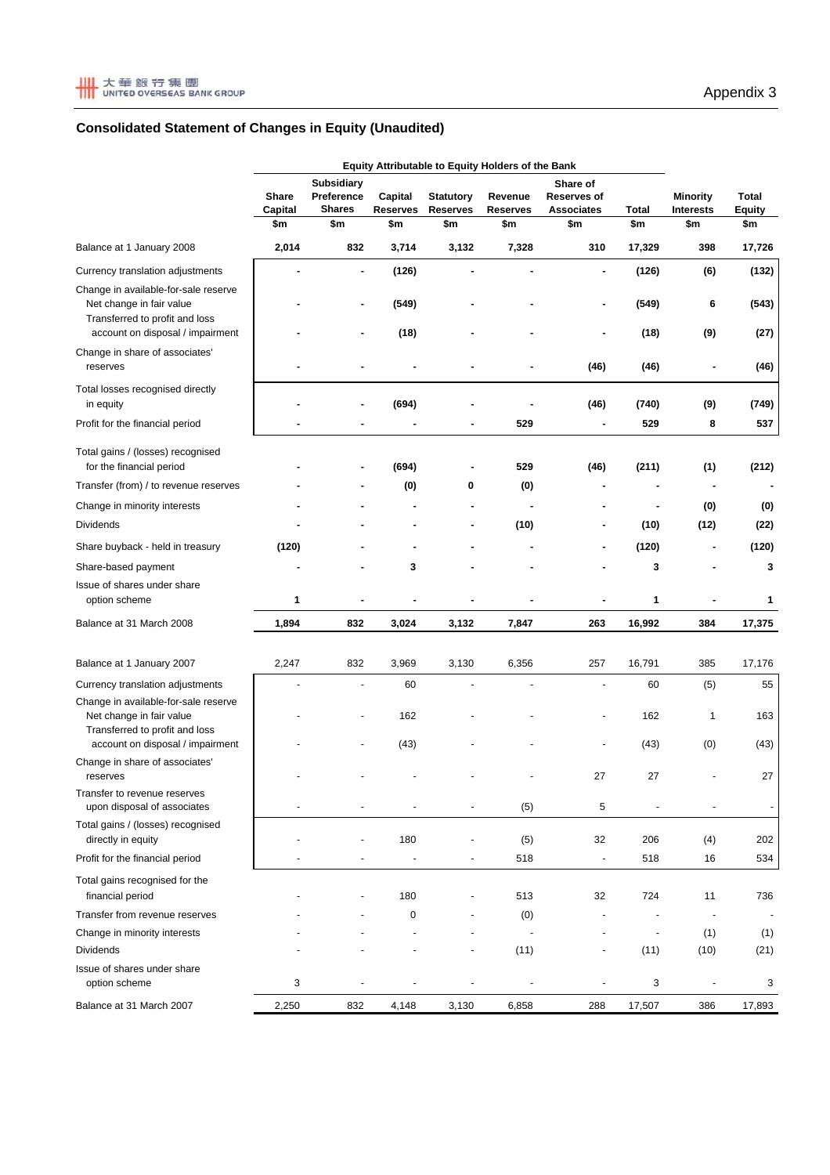

# **Consolidated Statement of Changes in Equity (Unaudited)**

|                                                                                                    | <b>Equity Attributable to Equity Holders of the Bank</b> |                                                  |                            |                                     |                            |                                       |                          |                                     |                               |
|----------------------------------------------------------------------------------------------------|----------------------------------------------------------|--------------------------------------------------|----------------------------|-------------------------------------|----------------------------|---------------------------------------|--------------------------|-------------------------------------|-------------------------------|
|                                                                                                    | Share<br>Capital                                         | <b>Subsidiary</b><br>Preference<br><b>Shares</b> | Capital<br><b>Reserves</b> | <b>Statutory</b><br><b>Reserves</b> | Revenue<br><b>Reserves</b> | Share of<br>Reserves of<br>Associates | Total                    | <b>Minority</b><br><b>Interests</b> | <b>Total</b><br><b>Equity</b> |
|                                                                                                    | \$m                                                      | \$m                                              | \$m                        | \$m                                 | \$m                        | \$m                                   | \$m                      | \$m                                 | \$m                           |
| Balance at 1 January 2008                                                                          | 2,014                                                    | 832                                              | 3,714                      | 3,132                               | 7,328                      | 310                                   | 17,329                   | 398                                 | 17,726                        |
| Currency translation adjustments                                                                   |                                                          | $\blacksquare$                                   | (126)                      |                                     |                            | ٠                                     | (126)                    | (6)                                 | (132)                         |
| Change in available-for-sale reserve                                                               |                                                          |                                                  |                            |                                     |                            |                                       |                          |                                     |                               |
| Net change in fair value<br>Transferred to profit and loss                                         |                                                          |                                                  | (549)                      |                                     |                            | ٠                                     | (549)                    | 6                                   | (543)                         |
| account on disposal / impairment                                                                   |                                                          |                                                  | (18)                       |                                     |                            | ٠                                     | (18)                     | (9)                                 | (27)                          |
| Change in share of associates'<br>reserves                                                         |                                                          |                                                  |                            |                                     |                            | (46)                                  | (46)                     | $\overline{\phantom{a}}$            | (46)                          |
| Total losses recognised directly<br>in equity                                                      |                                                          |                                                  | (694)                      |                                     |                            | (46)                                  | (740)                    | (9)                                 | (749)                         |
| Profit for the financial period                                                                    |                                                          |                                                  |                            |                                     | 529                        |                                       | 529                      | 8                                   | 537                           |
| Total gains / (losses) recognised<br>for the financial period                                      |                                                          |                                                  | (694)                      |                                     | 529                        | (46)                                  | (211)                    | (1)                                 | (212)                         |
| Transfer (from) / to revenue reserves                                                              |                                                          |                                                  | (0)                        | 0                                   | (0)                        |                                       |                          |                                     |                               |
| Change in minority interests                                                                       |                                                          |                                                  |                            |                                     |                            |                                       |                          | (0)                                 | (0)                           |
| <b>Dividends</b>                                                                                   |                                                          |                                                  |                            | ٠                                   | (10)                       | ٠                                     | (10)                     | (12)                                | (22)                          |
| Share buyback - held in treasury                                                                   | (120)                                                    |                                                  |                            |                                     |                            | ۰                                     | (120)                    | ٠                                   | (120)                         |
| Share-based payment                                                                                |                                                          |                                                  | 3                          |                                     |                            |                                       | 3                        |                                     | 3                             |
| Issue of shares under share<br>option scheme                                                       | 1                                                        |                                                  |                            |                                     |                            |                                       | 1                        |                                     | 1                             |
| Balance at 31 March 2008                                                                           | 1,894                                                    | 832                                              | 3,024                      | 3,132                               | 7,847                      | 263                                   | 16,992                   | 384                                 | 17,375                        |
|                                                                                                    |                                                          |                                                  |                            |                                     |                            |                                       |                          |                                     |                               |
| Balance at 1 January 2007                                                                          | 2,247                                                    | 832                                              | 3,969                      | 3,130                               | 6,356                      | 257                                   | 16,791                   | 385                                 | 17,176                        |
| Currency translation adjustments                                                                   |                                                          |                                                  | 60                         |                                     |                            | $\overline{a}$                        | 60                       | (5)                                 | 55                            |
| Change in available-for-sale reserve<br>Net change in fair value<br>Transferred to profit and loss |                                                          |                                                  | 162                        |                                     |                            |                                       | 162                      | 1                                   | 163                           |
| account on disposal / impairment                                                                   |                                                          |                                                  | (43)                       |                                     |                            |                                       | (43)                     | (0)                                 | (43)                          |
| Change in share of associates'<br>reserves                                                         |                                                          |                                                  |                            |                                     |                            | 27                                    | 27                       |                                     | 27                            |
| Transfer to revenue reserves<br>upon disposal of associates                                        |                                                          |                                                  |                            |                                     | (5)                        | 5                                     |                          |                                     | $\overline{\phantom{a}}$      |
| Total gains / (losses) recognised<br>directly in equity                                            |                                                          |                                                  | 180                        |                                     | (5)                        | 32                                    | 206                      | (4)                                 | 202                           |
| Profit for the financial period                                                                    |                                                          |                                                  | $\overline{\phantom{a}}$   |                                     | 518                        | $\overline{\phantom{a}}$              | 518                      | 16                                  | 534                           |
| Total gains recognised for the<br>financial period                                                 |                                                          |                                                  | 180                        |                                     | 513                        | 32                                    | 724                      | 11                                  | 736                           |
| Transfer from revenue reserves                                                                     |                                                          |                                                  | $\pmb{0}$                  |                                     | (0)                        |                                       |                          |                                     |                               |
| Change in minority interests                                                                       |                                                          |                                                  |                            |                                     |                            |                                       | $\overline{\phantom{a}}$ | (1)                                 | (1)                           |
| Dividends                                                                                          |                                                          |                                                  |                            |                                     | (11)                       | $\overline{\phantom{m}}$              | (11)                     | (10)                                | (21)                          |
| Issue of shares under share<br>option scheme                                                       | 3                                                        |                                                  |                            |                                     |                            |                                       | 3                        |                                     | 3                             |
| Balance at 31 March 2007                                                                           | 2,250                                                    | 832                                              | 4,148                      | 3,130                               | 6,858                      | 288                                   | 17,507                   | 386                                 | 17,893                        |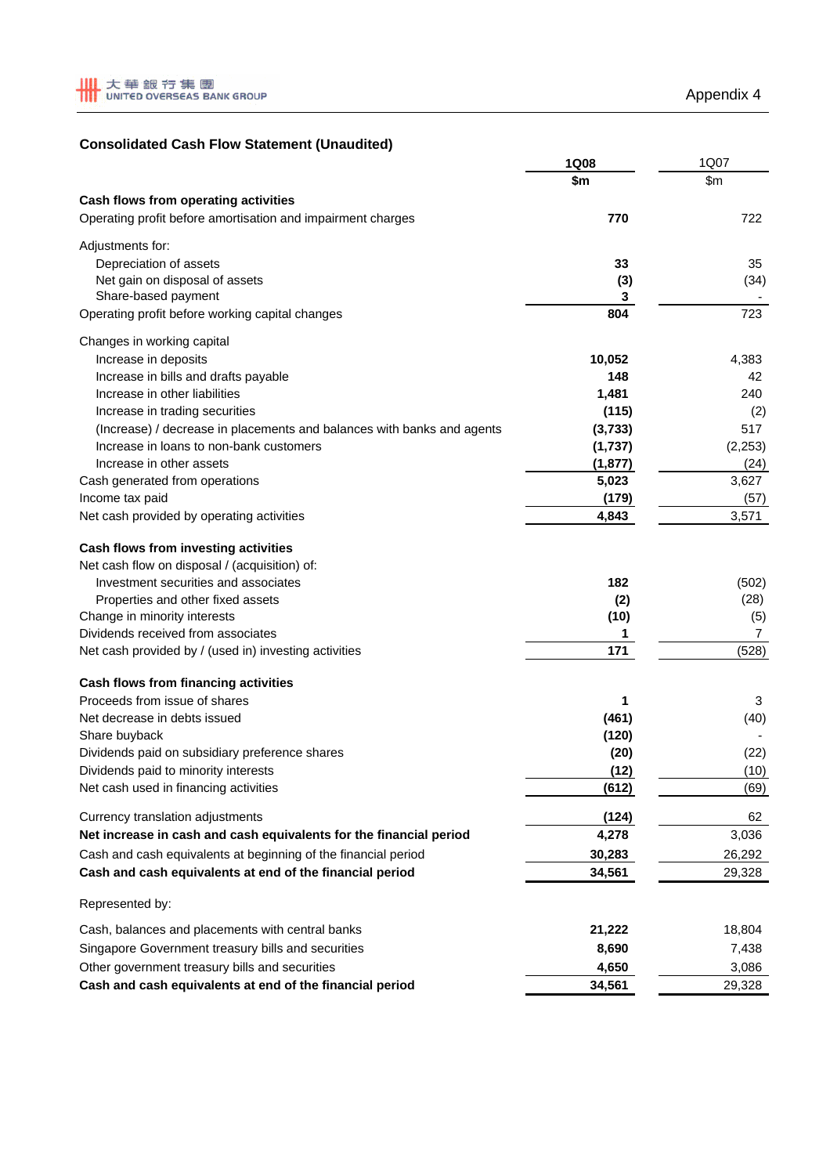# **Consolidated Cash Flow Statement (Unaudited)**

|                                                                        | 1Q08     | 1Q07     |
|------------------------------------------------------------------------|----------|----------|
|                                                                        | \$m      | \$m\$    |
| Cash flows from operating activities                                   |          |          |
| Operating profit before amortisation and impairment charges            | 770      | 722      |
| Adjustments for:                                                       |          |          |
| Depreciation of assets                                                 | 33       | 35       |
| Net gain on disposal of assets                                         | (3)      | (34)     |
| Share-based payment                                                    | 3        |          |
| Operating profit before working capital changes                        | 804      | 723      |
| Changes in working capital                                             |          |          |
| Increase in deposits                                                   | 10,052   | 4,383    |
| Increase in bills and drafts payable                                   | 148      | 42       |
| Increase in other liabilities                                          | 1,481    | 240      |
| Increase in trading securities                                         | (115)    | (2)      |
| (Increase) / decrease in placements and balances with banks and agents | (3,733)  | 517      |
| Increase in loans to non-bank customers                                | (1,737)  | (2, 253) |
| Increase in other assets                                               | (1, 877) | (24)     |
| Cash generated from operations                                         | 5,023    | 3,627    |
| Income tax paid                                                        | (179)    | (57)     |
| Net cash provided by operating activities                              | 4,843    | 3,571    |
| Cash flows from investing activities                                   |          |          |
| Net cash flow on disposal / (acquisition) of:                          |          |          |
| Investment securities and associates                                   | 182      | (502)    |
| Properties and other fixed assets                                      | (2)      | (28)     |
| Change in minority interests                                           | (10)     | (5)      |
| Dividends received from associates                                     | 1        | 7        |
| Net cash provided by / (used in) investing activities                  | 171      | (528)    |
| Cash flows from financing activities                                   |          |          |
| Proceeds from issue of shares                                          | 1        | 3        |
| Net decrease in debts issued                                           | (461)    | (40)     |
| Share buyback                                                          | (120)    |          |
| Dividends paid on subsidiary preference shares                         | (20)     | (22)     |
| Dividends paid to minority interests                                   | (12)     | (10)     |
| Net cash used in financing activities                                  | (612)    | (69)     |
| Currency translation adjustments                                       | (124)    | 62       |
| Net increase in cash and cash equivalents for the financial period     | 4,278    | 3,036    |
| Cash and cash equivalents at beginning of the financial period         | 30,283   | 26,292   |
| Cash and cash equivalents at end of the financial period               | 34,561   | 29,328   |
| Represented by:                                                        |          |          |
| Cash, balances and placements with central banks                       | 21,222   | 18,804   |
| Singapore Government treasury bills and securities                     | 8,690    | 7,438    |
| Other government treasury bills and securities                         | 4,650    | 3,086    |
| Cash and cash equivalents at end of the financial period               | 34,561   | 29,328   |
|                                                                        |          |          |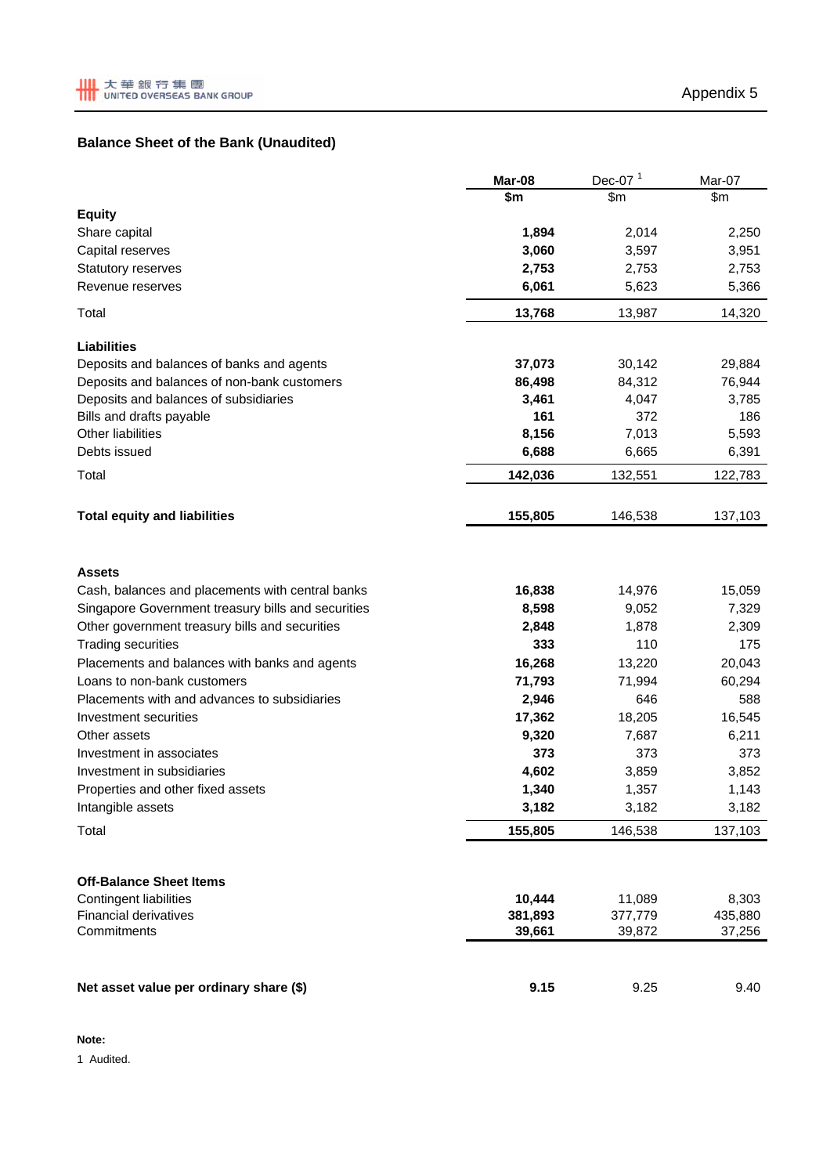# **Balance Sheet of the Bank (Unaudited)**

|                                                    | Mar-08  | Dec-07 $1$ | Mar-07  |
|----------------------------------------------------|---------|------------|---------|
|                                                    | \$m     | \$m\$      | \$m\$   |
| <b>Equity</b>                                      |         |            |         |
| Share capital                                      | 1,894   | 2,014      | 2,250   |
| Capital reserves                                   | 3,060   | 3,597      | 3,951   |
| Statutory reserves                                 | 2,753   | 2,753      | 2,753   |
| Revenue reserves                                   | 6,061   | 5,623      | 5,366   |
| Total                                              | 13,768  | 13,987     | 14,320  |
| <b>Liabilities</b>                                 |         |            |         |
| Deposits and balances of banks and agents          | 37,073  | 30,142     | 29,884  |
| Deposits and balances of non-bank customers        | 86,498  | 84,312     | 76,944  |
| Deposits and balances of subsidiaries              | 3,461   | 4,047      | 3,785   |
| Bills and drafts payable                           | 161     | 372        | 186     |
| <b>Other liabilities</b>                           | 8,156   | 7,013      | 5,593   |
| Debts issued                                       | 6,688   | 6,665      | 6,391   |
| Total                                              | 142,036 | 132,551    | 122,783 |
| <b>Total equity and liabilities</b>                | 155,805 | 146,538    | 137,103 |
|                                                    |         |            |         |
| <b>Assets</b>                                      |         |            |         |
| Cash, balances and placements with central banks   | 16,838  | 14,976     | 15,059  |
| Singapore Government treasury bills and securities | 8,598   | 9,052      | 7,329   |
| Other government treasury bills and securities     | 2,848   | 1,878      | 2,309   |
| <b>Trading securities</b>                          | 333     | 110        | 175     |
| Placements and balances with banks and agents      | 16,268  | 13,220     | 20,043  |
| Loans to non-bank customers                        | 71,793  | 71,994     | 60,294  |
| Placements with and advances to subsidiaries       | 2,946   | 646        | 588     |
| Investment securities                              | 17,362  | 18,205     | 16,545  |
| Other assets                                       | 9,320   | 7,687      | 6,211   |
| Investment in associates                           | 373     | 373        | 373     |
| Investment in subsidiaries                         | 4,602   | 3,859      | 3,852   |
| Properties and other fixed assets                  | 1,340   | 1,357      | 1,143   |
| Intangible assets                                  | 3,182   | 3,182      | 3,182   |
| Total                                              | 155,805 | 146,538    | 137,103 |
| <b>Off-Balance Sheet Items</b>                     |         |            |         |
| <b>Contingent liabilities</b>                      | 10,444  | 11,089     | 8,303   |
| <b>Financial derivatives</b>                       | 381,893 | 377,779    | 435,880 |
| Commitments                                        | 39,661  | 39,872     | 37,256  |
|                                                    |         |            |         |
| Net asset value per ordinary share (\$)            | 9.15    | 9.25       | 9.40    |

#### **Note:**

1 Audited.